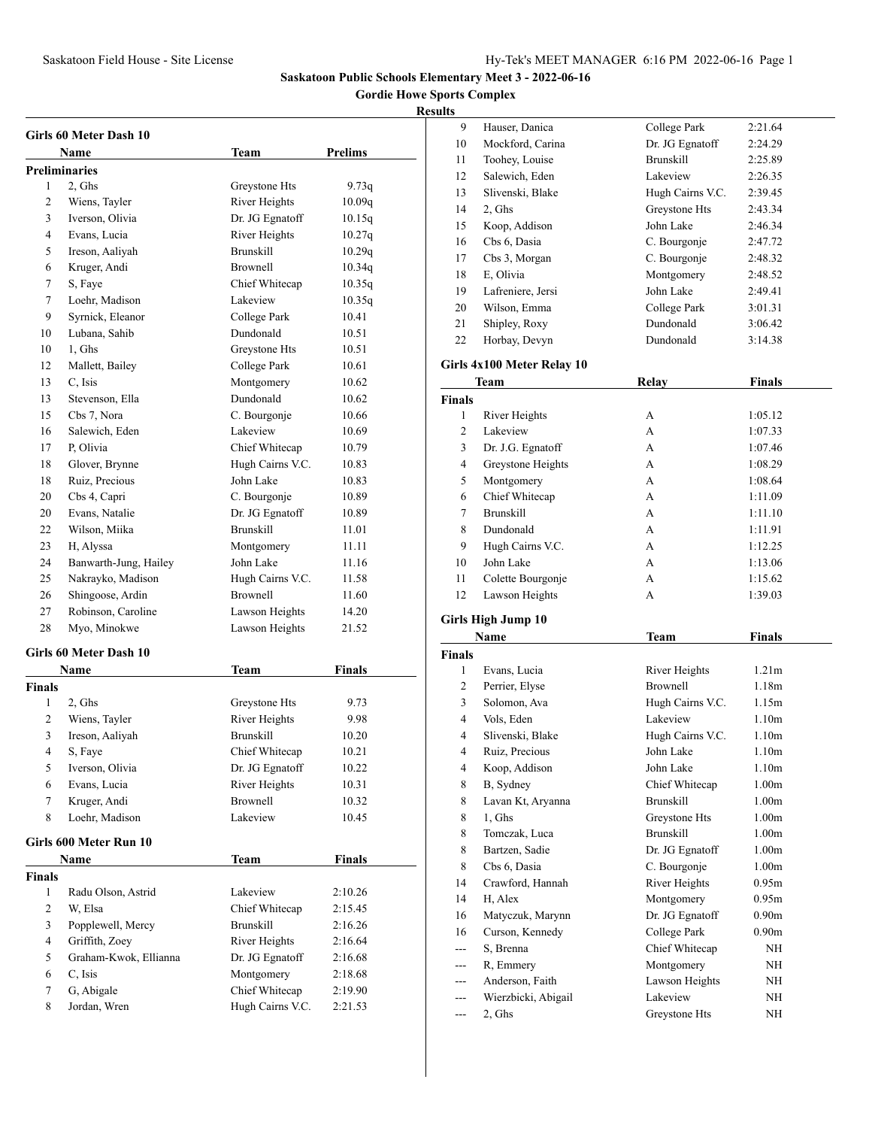**Gordie Howe Sports Complex**

|        | Girls 60 Meter Dash 10                  |                                    |               |
|--------|-----------------------------------------|------------------------------------|---------------|
|        | Name                                    | Team                               | Prelims       |
|        | <b>Preliminaries</b>                    |                                    |               |
| 1      | 2, Ghs                                  | Greystone Hts                      | 9.73q         |
| 2      | Wiens, Tayler                           | River Heights                      | 10.09q        |
| 3      | Iverson, Olivia                         | Dr. JG Egnatoff                    | 10.15q        |
| 4      | Evans, Lucia                            | River Heights                      | 10.27q        |
| 5      | Ireson, Aaliyah                         | <b>Brunskill</b>                   | 10.29q        |
| 6      | Kruger, Andi                            | Brownell                           | 10.34q        |
| 7      | S, Faye                                 | Chief Whitecap                     | 10.35q        |
| 7      | Loehr, Madison                          | Lakeview                           | 10.35q        |
| 9      | Syrnick, Eleanor                        | College Park                       | 10.41         |
| 10     | Lubana, Sahib                           | Dundonald                          | 10.51         |
| 10     | 1, Ghs                                  | Greystone Hts                      | 10.51         |
| 12     | Mallett, Bailey                         | College Park                       | 10.61         |
| 13     | C, Isis                                 | Montgomery                         | 10.62         |
| 13     | Stevenson, Ella                         | Dundonald                          | 10.62         |
| 15     | Cbs 7, Nora                             | C. Bourgonje                       | 10.66         |
| 16     | Salewich, Eden                          | Lakeview                           | 10.69         |
| 17     | P. Olivia                               | Chief Whitecap                     | 10.79         |
| 18     | Glover, Brynne                          | Hugh Cairns V.C.                   | 10.83         |
| 18     | Ruiz, Precious                          | John Lake                          | 10.83         |
| 20     | Cbs 4, Capri                            | C. Bourgonje                       | 10.89         |
| 20     | Evans, Natalie                          | Dr. JG Egnatoff                    | 10.89         |
| 22     | Wilson, Miika                           | <b>Brunskill</b>                   | 11.01         |
| 23     | H, Alyssa                               | Montgomery                         | 11.11         |
| 24     | Banwarth-Jung, Hailey                   | John Lake                          | 11.16         |
| 25     | Nakrayko, Madison                       | Hugh Cairns V.C.                   | 11.58         |
| 26     | Shingoose, Ardin                        | <b>Brownell</b>                    | 11.60         |
| 27     | Robinson, Caroline                      | Lawson Heights                     | 14.20         |
| 28     | Myo, Minokwe                            | Lawson Heights                     | 21.52         |
|        | Girls 60 Meter Dash 10                  |                                    |               |
|        | Name                                    | Team                               | <b>Finals</b> |
| Finals |                                         |                                    |               |
| 1      | 2, Ghs                                  | Greystone Hts                      | 9.73          |
| 2      | Wiens, Tayler                           | River Heights                      | 9.98          |
| 3      | Ireson, Aaliyah                         | <b>Brunskill</b>                   | 10.20         |
| 4      | S, Faye                                 | Chief Whitecap                     | 10.21         |
| 5      | Iverson, Olivia                         | Dr. JG Egnatoff                    | 10.22         |
| 6      | Evans, Lucia                            | River Heights                      | 10.31         |
| 7      | Kruger, Andi                            | <b>Brownell</b>                    | 10.32         |
| 8      | Loehr, Madison                          | Lakeview                           | 10.45         |
|        |                                         |                                    |               |
|        | Girls 600 Meter Run 10                  | <b>Team</b>                        | <b>Finals</b> |
|        | Name                                    |                                    |               |
| Finals |                                         |                                    |               |
| 1      | Radu Olson, Astrid                      | Lakeview                           | 2:10.26       |
| 2      | W, Elsa                                 | Chief Whitecap<br><b>Brunskill</b> | 2:15.45       |
| 3      | Popplewell, Mercy                       |                                    | 2:16.26       |
| 4<br>5 | Griffith, Zoey<br>Graham-Kwok, Ellianna | River Heights<br>Dr. JG Egnatoff   | 2:16.64       |
|        | C, Isis                                 |                                    | 2:16.68       |
| 6      |                                         | Montgomery<br>Chief Whitecap       | 2:18.68       |
| 7      | G, Abigale<br>Jordan, Wren              |                                    | 2:19.90       |
| 8      |                                         | Hugh Cairns V.C.                   | 2:21.53       |

| ,,,,,         |                            |                  |                   |  |
|---------------|----------------------------|------------------|-------------------|--|
| 9             | Hauser, Danica             | College Park     | 2:21.64           |  |
| 10            | Mockford, Carina           | Dr. JG Egnatoff  | 2:24.29           |  |
| 11            | Toohey, Louise             | <b>Brunskill</b> | 2:25.89           |  |
| 12            | Salewich, Eden             | Lakeview         | 2:26.35           |  |
| 13            | Slivenski, Blake           | Hugh Cairns V.C. | 2:39.45           |  |
| 14            | 2, Ghs                     | Greystone Hts    | 2:43.34           |  |
| 15            | Koop, Addison              | John Lake        | 2:46.34           |  |
| 16            | Cbs 6, Dasia               | C. Bourgonje     | 2:47.72           |  |
| 17            | Cbs 3, Morgan              | C. Bourgonje     | 2:48.32           |  |
| 18            | E, Olivia                  | Montgomery       | 2:48.52           |  |
| 19            | Lafreniere, Jersi          | John Lake        | 2:49.41           |  |
| 20            | Wilson, Emma               | College Park     | 3:01.31           |  |
| 21            | Shipley, Roxy              | Dundonald        | 3:06.42           |  |
| 22            | Horbay, Devyn              | Dundonald        | 3:14.38           |  |
|               |                            |                  |                   |  |
|               | Girls 4x100 Meter Relay 10 |                  |                   |  |
|               | Team                       | <b>Relay</b>     | Finals            |  |
| <b>Finals</b> |                            |                  |                   |  |
| 1             | River Heights              | А                | 1:05.12           |  |
| 2             | Lakeview                   | A                | 1:07.33           |  |
| 3             | Dr. J.G. Egnatoff          | A                | 1:07.46           |  |
| 4             | Greystone Heights          | A                | 1:08.29           |  |
| 5             | Montgomery                 | A                | 1:08.64           |  |
| 6             | Chief Whitecap             | A                | 1:11.09           |  |
| 7             | <b>Brunskill</b>           | A                | 1:11.10           |  |
| 8             | Dundonald                  | A                | 1:11.91           |  |
| 9             | Hugh Cairns V.C.           | A                | 1:12.25           |  |
| 10            | John Lake                  | А                | 1:13.06           |  |
| 11            | Colette Bourgonje          | A                | 1:15.62           |  |
| 12            | Lawson Heights             | A                | 1:39.03           |  |
|               |                            |                  |                   |  |
|               | Girls High Jump 10         |                  |                   |  |
|               | Name                       | Team             | <b>Finals</b>     |  |
| <b>Finals</b> |                            |                  |                   |  |
| 1             | Evans, Lucia               | River Heights    | 1.21 <sub>m</sub> |  |
| 2             | Perrier, Elyse             | Brownell         | 1.18 <sub>m</sub> |  |
| 3             | Solomon, Ava               | Hugh Cairns V.C. | 1.15m             |  |
| 4             | Vols, Eden                 | Lakeview         | 1.10 <sub>m</sub> |  |
| 4             | Slivenski, Blake           | Hugh Cairns V.C. | 1.10 <sub>m</sub> |  |
| 4             | Ruiz, Precious             | John Lake        | 1.10m             |  |
| 4             | Koop, Addison              | John Lake        | 1.10 <sub>m</sub> |  |
| 8             | B, Sydney                  | Chief Whitecap   | 1.00 <sub>m</sub> |  |
| 8             | Lavan Kt, Aryanna          | <b>Brunskill</b> | 1.00 <sub>m</sub> |  |
| 8             | 1, Ghs                     | Greystone Hts    | 1.00 <sub>m</sub> |  |
| 8             | Tomczak, Luca              | <b>Brunskill</b> | 1.00 <sub>m</sub> |  |
| 8             | Bartzen, Sadie             | Dr. JG Egnatoff  | 1.00 <sub>m</sub> |  |
| 8             | Cbs 6, Dasia               | C. Bourgonje     | 1.00 <sub>m</sub> |  |
| 14            | Crawford, Hannah           | River Heights    | 0.95m             |  |
| 14            | H, Alex                    | Montgomery       | 0.95m             |  |
| 16            | Matyczuk, Marynn           | Dr. JG Egnatoff  | 0.90 <sub>m</sub> |  |
| 16            | Curson, Kennedy            | College Park     | 0.90 <sub>m</sub> |  |
| ---           | S, Brenna                  | Chief Whitecap   | NH                |  |
| ---           | R, Emmery                  | Montgomery       | NΗ                |  |
| ---           | Anderson, Faith            | Lawson Heights   | NH                |  |
| ---           | Wierzbicki, Abigail        | Lakeview         | NΗ                |  |
| ---           | 2, Ghs                     | Greystone Hts    | NH                |  |
|               |                            |                  |                   |  |
|               |                            |                  |                   |  |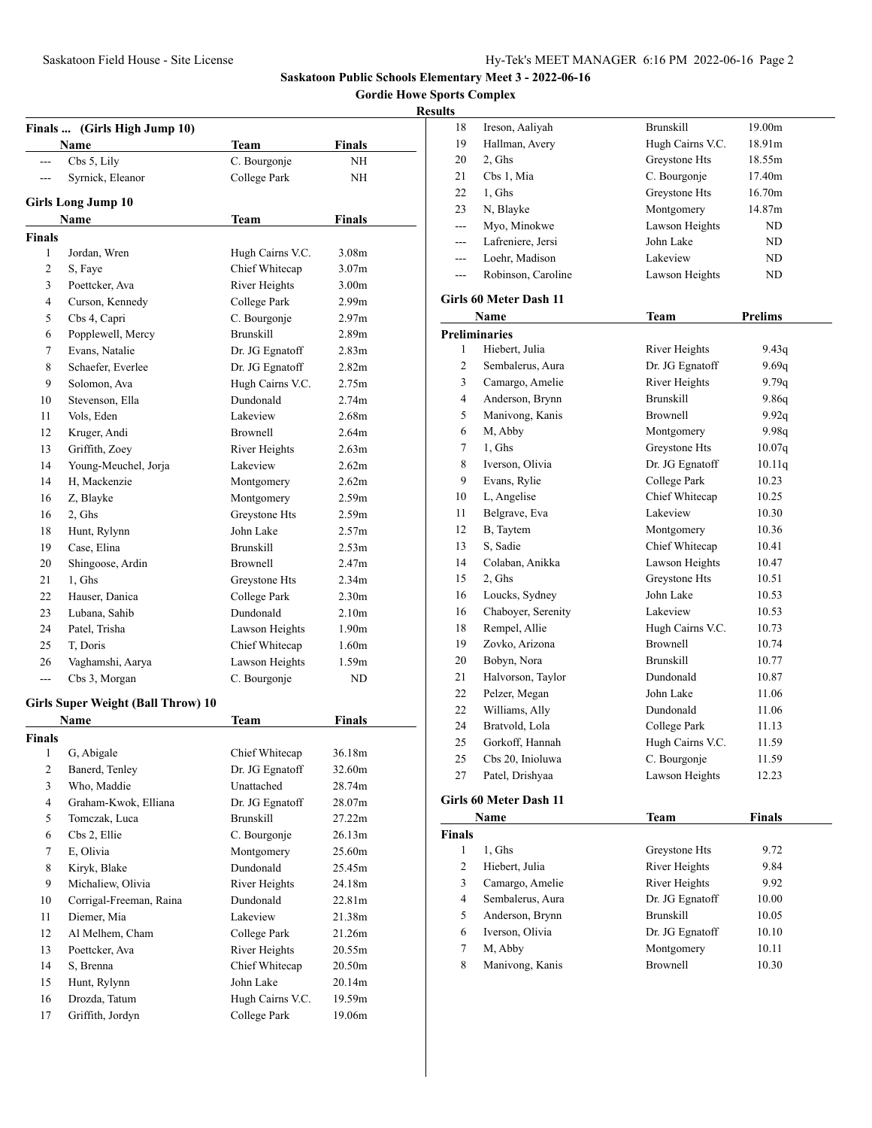**Gordie Howe Sports Complex**

|              | Finals  (Girls High Jump 10)              |                  |                   |
|--------------|-------------------------------------------|------------------|-------------------|
|              | Name                                      | Team             | <b>Finals</b>     |
| ---          | Cbs 5, Lily                               | C. Bourgonje     | NH                |
| $- - -$      | Syrnick, Eleanor                          | College Park     | NΗ                |
|              |                                           |                  |                   |
|              | <b>Girls Long Jump 10</b><br>Name         | Team             | <b>Finals</b>     |
| Finals       |                                           |                  |                   |
| 1            | Jordan, Wren                              | Hugh Cairns V.C. | 3.08 <sub>m</sub> |
| 2            | S, Faye                                   | Chief Whitecap   | 3.07 <sub>m</sub> |
| 3            | Poettcker, Ava                            | River Heights    | 3.00 <sub>m</sub> |
| 4            | Curson, Kennedy                           | College Park     | 2.99 <sub>m</sub> |
| 5            | Cbs 4, Capri                              | C. Bourgonje     | 2.97 <sub>m</sub> |
| 6            | Popplewell, Mercy                         | <b>Brunskill</b> | 2.89 <sub>m</sub> |
| 7            | Evans, Natalie                            | Dr. JG Egnatoff  | 2.83 <sub>m</sub> |
| 8            | Schaefer, Everlee                         | Dr. JG Egnatoff  | 2.82 <sub>m</sub> |
| 9            | Solomon, Ava                              | Hugh Cairns V.C. | 2.75m             |
| 10           | Stevenson, Ella                           | Dundonald        | 2.74 <sub>m</sub> |
| 11           | Vols, Eden                                | Lakeview         | 2.68m             |
| 12           | Kruger, Andi                              | <b>Brownell</b>  | 2.64 <sub>m</sub> |
| 13           | Griffith, Zoey                            | River Heights    | 2.63 <sub>m</sub> |
| 14           | Young-Meuchel, Jorja                      | Lakeview         | 2.62m             |
| 14           | H, Mackenzie                              | Montgomery       | 2.62m             |
| 16           | Z, Blayke                                 | Montgomery       | 2.59m             |
| 16           | 2, Ghs                                    | Greystone Hts    | 2.59m             |
| 18           | Hunt, Rylynn                              | John Lake        | 2.57m             |
| 19           | Case, Elina                               | <b>Brunskill</b> | 2.53m             |
| 20           | Shingoose, Ardin                          | <b>Brownell</b>  | 2.47m             |
| 21           | 1, Ghs                                    | Greystone Hts    | 2.34 <sub>m</sub> |
| 22           | Hauser, Danica                            | College Park     | 2.30 <sub>m</sub> |
| 23           | Lubana, Sahib                             | Dundonald        | 2.10 <sub>m</sub> |
| 24           | Patel, Trisha                             | Lawson Heights   | 1.90 <sub>m</sub> |
| 25           | T. Doris                                  | Chief Whitecap   | 1.60 <sub>m</sub> |
| 26           | Vaghamshi, Aarya                          | Lawson Heights   | 1.59m             |
| ---          | Cbs 3, Morgan                             | C. Bourgonje     | ND                |
|              |                                           |                  |                   |
|              | <b>Girls Super Weight (Ball Throw) 10</b> |                  |                   |
|              | Name                                      | Team             | Finals            |
| Finals       |                                           |                  |                   |
| $\mathbf{1}$ | G, Abigale                                | Chief Whitecap   | 36.18m            |
| 2            | Banerd, Tenley                            | Dr. JG Egnatoff  | 32.60m            |
| 3            | Who, Maddie                               | Unattached       | 28.74m            |
| 4            | Graham-Kwok, Elliana                      | Dr. JG Egnatoff  | 28.07m            |
| 5            | Tomczak, Luca                             | <b>Brunskill</b> | 27.22m            |
| 6            | Cbs 2, Ellie                              | C. Bourgonje     | 26.13m            |
| 7            | E, Olivia                                 | Montgomery       | 25.60m            |
| 8            | Kiryk, Blake                              | Dundonald        | 25.45m            |
| 9            | Michaliew, Olivia                         | River Heights    | 24.18m            |
| 10           | Corrigal-Freeman, Raina                   | Dundonald        | 22.81m            |
| 11           | Diemer, Mia                               | Lakeview         | 21.38m            |
| 12           | Al Melhem, Cham                           | College Park     | 21.26m            |
| 13           | Poettcker, Ava                            | River Heights    | 20.55m            |
| 14           | S, Brenna                                 | Chief Whitecap   | 20.50m            |
| 15           | Hunt, Rylynn                              | John Lake        | 20.14m            |
| 16           | Drozda, Tatum                             | Hugh Cairns V.C. | 19.59m            |
| 17           | Griffith, Jordyn                          | College Park     | 19.06m            |
|              |                                           |                  |                   |

| 18                   | Ireson, Aaliyah        | <b>Brunskill</b> | 19.00m         |
|----------------------|------------------------|------------------|----------------|
| 19                   | Hallman, Avery         | Hugh Cairns V.C. | 18.91m         |
| 20                   | 2, Ghs                 | Greystone Hts    | 18.55m         |
| 21                   | Cbs 1, Mia             | C. Bourgonje     | 17.40m         |
| 22                   | 1, Ghs                 | Greystone Hts    | 16.70m         |
| 23                   | N, Blayke              | Montgomery       | 14.87m         |
| $---$                | Myo, Minokwe           | Lawson Heights   | ND             |
| ---                  | Lafreniere, Jersi      | John Lake        | ND             |
| ---                  | Loehr, Madison         | Lakeview         | ND             |
| ---                  | Robinson, Caroline     | Lawson Heights   | ND             |
|                      | Girls 60 Meter Dash 11 |                  |                |
|                      | Name                   | Team             | <b>Prelims</b> |
| <b>Preliminaries</b> |                        |                  |                |
| 1                    | Hiebert, Julia         | River Heights    | 9.43q          |
| $\overline{c}$       | Sembalerus, Aura       | Dr. JG Egnatoff  | 9.69q          |
| 3                    | Camargo, Amelie        | River Heights    | 9.79q          |
| 4                    | Anderson, Brynn        | <b>Brunskill</b> | 9.86q          |
| 5                    | Manivong, Kanis        | <b>Brownell</b>  | 9.92q          |
| 6                    | M, Abby                | Montgomery       | 9.98q          |
| 7                    | 1, Ghs                 | Greystone Hts    | 10.07q         |
| 8                    | Iverson, Olivia        | Dr. JG Egnatoff  | 10.11q         |
| 9                    | Evans, Rylie           | College Park     | 10.23          |
| 10                   | L, Angelise            | Chief Whitecap   | 10.25          |
| 11                   | Belgrave, Eva          | Lakeview         | 10.30          |
| 12                   | B, Taytem              | Montgomery       | 10.36          |
| 13                   | S, Sadie               | Chief Whitecap   | 10.41          |
| 14                   | Colaban, Anikka        | Lawson Heights   | 10.47          |
| 15                   | 2, Ghs                 | Greystone Hts    | 10.51          |
| 16                   | Loucks, Sydney         | John Lake        | 10.53          |
| 16                   | Chaboyer, Serenity     | Lakeview         | 10.53          |
| 18                   | Rempel, Allie          | Hugh Cairns V.C. | 10.73          |
| 19                   | Zovko, Arizona         | <b>Brownell</b>  | 10.74          |
| 20                   | Bobyn, Nora            | <b>Brunskill</b> | 10.77          |
| 21                   | Halvorson, Taylor      | Dundonald        | 10.87          |
| 22                   | Pelzer, Megan          | John Lake        | 11.06          |
| 22                   | Williams, Ally         | Dundonald        | 11.06          |
| 24                   | Bratvold, Lola         | College Park     | 11.13          |
| 25                   | Gorkoff, Hannah        | Hugh Cairns V.C. | 11.59          |
| 25                   | Cbs 20, Inioluwa       | C. Bourgonje     | 11.59          |
| 27                   | Patel, Drishyaa        | Lawson Heights   | 12.23          |
|                      | Girls 60 Meter Dash 11 |                  |                |

|               | Name             | Team             | Finals |  |
|---------------|------------------|------------------|--------|--|
| <b>Finals</b> |                  |                  |        |  |
| 1             | 1. Ghs           | Greystone Hts    | 9.72   |  |
| 2             | Hiebert, Julia   | River Heights    | 9.84   |  |
| 3             | Camargo, Amelie  | River Heights    | 9.92   |  |
| 4             | Sembalerus, Aura | Dr. JG Egnatoff  | 10.00  |  |
| 5             | Anderson, Brynn  | <b>Brunskill</b> | 10.05  |  |
| 6             | Iverson, Olivia  | Dr. JG Egnatoff  | 10.10  |  |
| 7             | M, Abby          | Montgomery       | 10.11  |  |
| 8             | Manivong, Kanis  | <b>Brownell</b>  | 10.30  |  |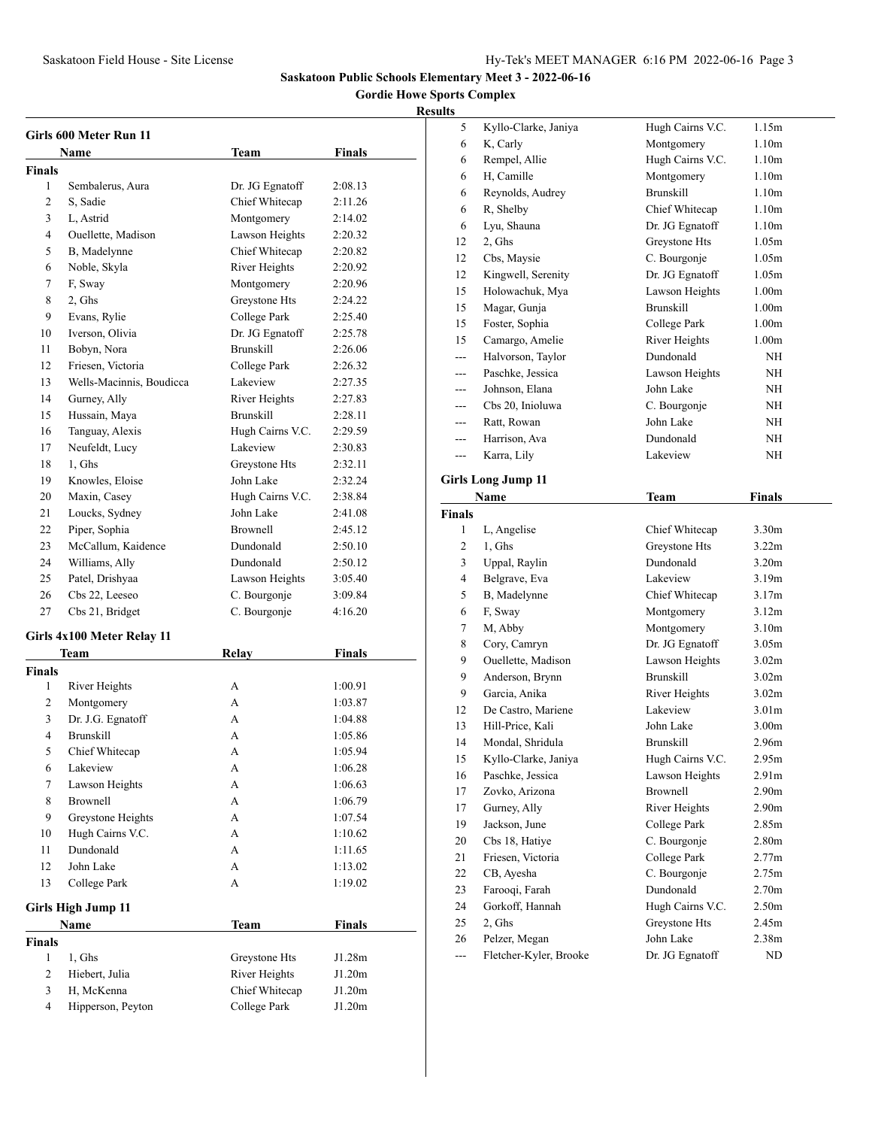**Gordie Howe Sports Complex**

| Girls 600 Meter Run 11 |                            |                  |               |  |
|------------------------|----------------------------|------------------|---------------|--|
|                        | Name                       | Team             | Finals        |  |
| <b>Finals</b>          |                            |                  |               |  |
| 1                      | Sembalerus, Aura           | Dr. JG Egnatoff  | 2:08.13       |  |
| 2                      | S, Sadie                   | Chief Whitecap   | 2:11.26       |  |
| 3                      | L, Astrid                  | Montgomery       | 2:14.02       |  |
| 4                      | Ouellette, Madison         | Lawson Heights   | 2:20.32       |  |
| 5                      | B, Madelynne               | Chief Whitecap   | 2:20.82       |  |
| 6                      | Noble, Skyla               | River Heights    | 2:20.92       |  |
| 7                      | F, Sway                    | Montgomery       | 2:20.96       |  |
| 8                      | 2, Ghs                     | Greystone Hts    | 2:24.22       |  |
| 9                      | Evans, Rylie               | College Park     | 2:25.40       |  |
| 10                     | Iverson, Olivia            | Dr. JG Egnatoff  | 2:25.78       |  |
| 11                     | Bobyn, Nora                | <b>Brunskill</b> | 2:26.06       |  |
| 12                     | Friesen, Victoria          | College Park     | 2:26.32       |  |
| 13                     | Wells-Macinnis, Boudicca   | Lakeview         | 2:27.35       |  |
| 14                     | Gurney, Ally               | River Heights    | 2:27.83       |  |
| 15                     | Hussain, Maya              | <b>Brunskill</b> | 2:28.11       |  |
| 16                     | Tanguay, Alexis            | Hugh Cairns V.C. | 2:29.59       |  |
| 17                     | Neufeldt, Lucy             | Lakeview         | 2:30.83       |  |
| 18                     | 1, Ghs                     | Greystone Hts    | 2:32.11       |  |
| 19                     | Knowles, Eloise            | John Lake        | 2:32.24       |  |
| 20                     | Maxin, Casey               | Hugh Cairns V.C. | 2:38.84       |  |
| 21                     | Loucks, Sydney             | John Lake        | 2:41.08       |  |
| 22                     | Piper, Sophia              | <b>Brownell</b>  | 2:45.12       |  |
| 23                     | McCallum, Kaidence         | Dundonald        | 2:50.10       |  |
| 24                     |                            | Dundonald        | 2:50.12       |  |
|                        | Williams, Ally             |                  |               |  |
| 25                     | Patel, Drishyaa            | Lawson Heights   | 3:05.40       |  |
| 26                     | Cbs 22, Leeseo             | C. Bourgonje     | 3:09.84       |  |
| 27                     | Cbs 21, Bridget            | C. Bourgonje     | 4:16.20       |  |
|                        | Girls 4x100 Meter Relay 11 |                  |               |  |
|                        | Team                       | Relay            | <b>Finals</b> |  |
| <b>Finals</b>          |                            |                  |               |  |
| 1                      | River Heights              | А                | 1:00.91       |  |
| 2                      | Montgomery                 | А                | 1:03.87       |  |
| 3                      | Dr. J.G. Egnatoff          | А                | 1:04.88       |  |
| 4                      | <b>Brunskill</b>           | A                | 1:05.86       |  |
| 5                      | Chief Whitecap             | А                | 1:05.94       |  |
| 6                      | Lakeview                   | A                | 1:06.28       |  |
| 7                      | Lawson Heights             | А                | 1:06.63       |  |
| 8                      | <b>Brownell</b>            | А                | 1:06.79       |  |
| 9                      | Greystone Heights          | А                | 1:07.54       |  |
| 10                     | Hugh Cairns V.C.           | А                | 1:10.62       |  |
| 11                     | Dundonald                  | А                | 1:11.65       |  |
| 12                     | John Lake                  | А                | 1:13.02       |  |
| 13                     | College Park               | А                | 1:19.02       |  |
|                        | <b>Girls High Jump 11</b>  |                  |               |  |
|                        | Name                       | <b>Team</b>      | <b>Finals</b> |  |
| <b>Finals</b>          |                            |                  |               |  |
| 1                      | 1, Ghs                     | Greystone Hts    | J1.28m        |  |
| $\overline{c}$         | Hiebert, Julia             | River Heights    | J1.20m        |  |
| 3                      | H, McKenna                 | Chief Whitecap   | J1.20m        |  |
| 4                      | Hipperson, Peyton          | College Park     | J1.20m        |  |

| ults          |                                         |                              |                   |  |
|---------------|-----------------------------------------|------------------------------|-------------------|--|
| 5             | Kyllo-Clarke, Janiya                    | Hugh Cairns V.C.             | 1.15m             |  |
| 6             | K, Carly                                | Montgomery                   | 1.10 <sub>m</sub> |  |
| 6             | Rempel, Allie                           | Hugh Cairns V.C.             | 1.10 <sub>m</sub> |  |
| 6             | H. Camille                              | Montgomery                   | 1.10 <sub>m</sub> |  |
| 6             | Reynolds, Audrey                        | <b>Brunskill</b>             | 1.10 <sub>m</sub> |  |
| 6             | R, Shelby                               | Chief Whitecap               | 1.10 <sub>m</sub> |  |
| 6             | Lyu, Shauna                             | Dr. JG Egnatoff              | 1.10 <sub>m</sub> |  |
| 12            | 2, Ghs                                  | Greystone Hts                | 1.05m             |  |
| 12            | Cbs, Maysie                             | C. Bourgonje                 | 1.05m             |  |
| 12            | Kingwell, Serenity                      | Dr. JG Egnatoff              | 1.05m             |  |
| 15            | Holowachuk, Mya                         | Lawson Heights               | 1.00 <sub>m</sub> |  |
| 15            | Magar, Gunja                            | <b>Brunskill</b>             | 1.00 <sub>m</sub> |  |
| 15            | Foster, Sophia                          | College Park                 | 1.00 <sub>m</sub> |  |
| 15            | Camargo, Amelie                         | River Heights                | 1.00 <sub>m</sub> |  |
| ---           | Halvorson, Taylor                       | Dundonald                    | NH                |  |
| $---$         | Paschke, Jessica                        | Lawson Heights               | NH                |  |
|               | Johnson, Elana                          | John Lake                    | NH                |  |
|               | Cbs 20, Inioluwa                        | C. Bourgonje                 | NH                |  |
| $---$         | Ratt, Rowan                             | John Lake                    | NH                |  |
| ---           | Harrison, Ava                           | Dundonald                    | <b>NH</b>         |  |
| ---           | Karra, Lily                             | Lakeview                     | <b>NH</b>         |  |
|               |                                         |                              |                   |  |
|               | <b>Girls Long Jump 11</b>               |                              |                   |  |
|               | Name                                    | <b>Team</b>                  | Finals            |  |
| <b>Finals</b> |                                         |                              |                   |  |
|               |                                         |                              |                   |  |
| 1             | L, Angelise                             | Chief Whitecap               | 3.30 <sub>m</sub> |  |
| 2             | 1, Ghs                                  | Greystone Hts                | 3.22 <sub>m</sub> |  |
| 3             | Uppal, Raylin                           | Dundonald                    | 3.20 <sub>m</sub> |  |
| 4             | Belgrave, Eva                           | Lakeview                     | 3.19 <sub>m</sub> |  |
| 5             | B, Madelynne                            | Chief Whitecap               | 3.17m             |  |
| 6             | F, Sway                                 | Montgomery                   | 3.12m             |  |
| 7             | M, Abby                                 | Montgomery                   | 3.10 <sub>m</sub> |  |
| 8             | Cory, Camryn                            | Dr. JG Egnatoff              | 3.05 <sub>m</sub> |  |
| 9             | Ouellette, Madison                      | Lawson Heights               | 3.02 <sub>m</sub> |  |
| 9             | Anderson, Brynn                         | <b>Brunskill</b>             | 3.02 <sub>m</sub> |  |
| 9             | Garcia, Anika                           | River Heights                | 3.02 <sub>m</sub> |  |
| 12            | De Castro, Mariene                      | Lakeview                     | 3.01 <sub>m</sub> |  |
| 13            | Hill-Price, Kali                        | John Lake                    | 3.00 <sub>m</sub> |  |
| 14            | Mondal, Shridula                        | <b>Brunskill</b>             | 2.96m             |  |
| 15            | Kyllo-Clarke, Janiya                    | Hugh Cairns V.C.             | 2.95m             |  |
| 16            | Paschke, Jessica                        | Lawson Heights               | 2.91 <sub>m</sub> |  |
| 17            | Zovko, Arizona                          | Brownell                     | 2.90 <sub>m</sub> |  |
| 17            | Gurney, Ally                            | River Heights                | 2.90 <sub>m</sub> |  |
| 19            | Jackson, June                           | College Park                 | 2.85m             |  |
| 20            | Cbs 18, Hatiye                          | C. Bourgonje                 | 2.80 <sub>m</sub> |  |
| 21            | Friesen, Victoria                       | College Park                 | 2.77m             |  |
| 22            | CB, Ayesha                              | C. Bourgonje                 | 2.75m             |  |
| 23            | Farooqi, Farah                          | Dundonald                    | 2.70 <sub>m</sub> |  |
| 24            | Gorkoff, Hannah                         | Hugh Cairns V.C.             | 2.50 <sub>m</sub> |  |
| 25            | 2, Ghs                                  | Greystone Hts                | 2.45m             |  |
| 26            | Pelzer, Megan<br>Fletcher-Kyler, Brooke | John Lake<br>Dr. JG Egnatoff | 2.38m             |  |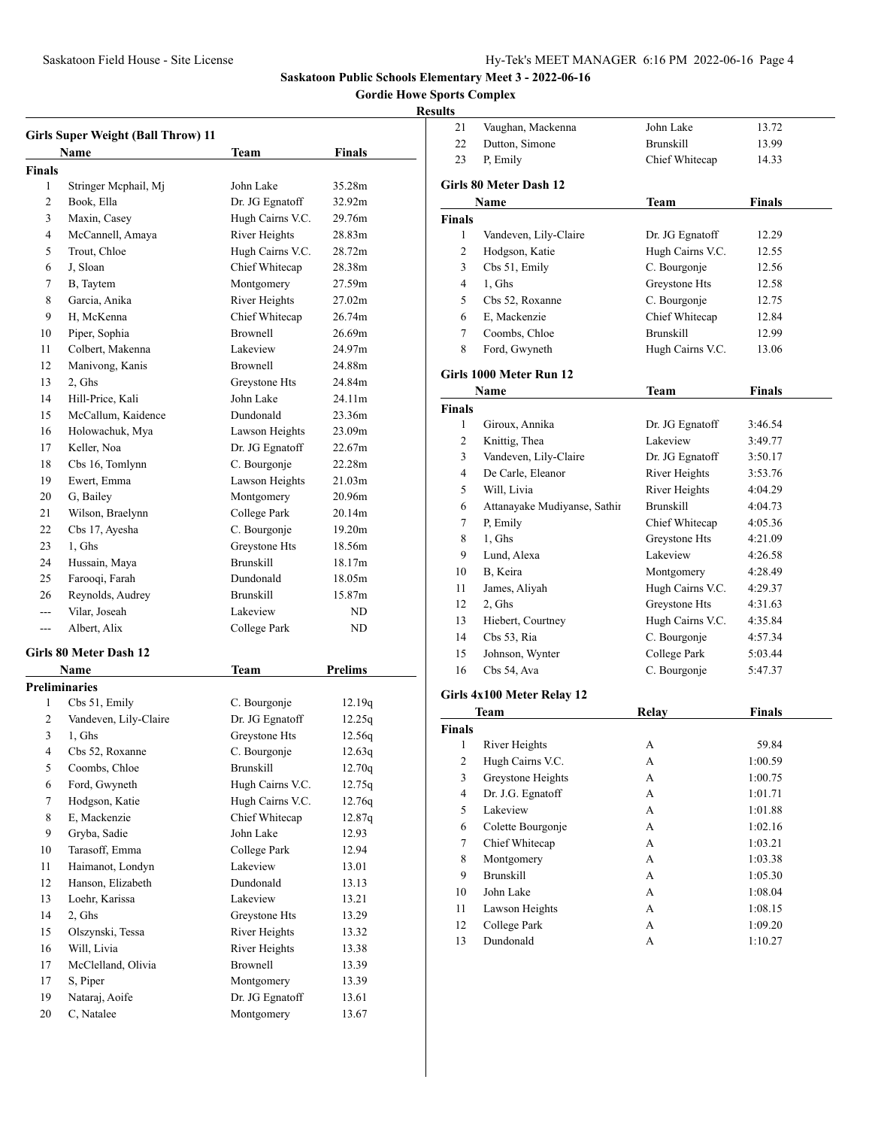**Gordie Howe Sports Complex**

|                | <b>Girls Super Weight (Ball Throw) 11</b> |                  |                |
|----------------|-------------------------------------------|------------------|----------------|
|                | <b>Name</b>                               | Team             | Finals         |
| Finals         |                                           |                  |                |
| 1              | Stringer Mcphail, Mj                      | John Lake        | 35.28m         |
| 2              | Book, Ella                                | Dr. JG Egnatoff  | 32.92m         |
| 3              | Maxin, Casey                              | Hugh Cairns V.C. | 29.76m         |
| 4              | McCannell, Amaya                          | River Heights    | 28.83m         |
| 5              | Trout, Chloe                              | Hugh Cairns V.C. | 28.72m         |
| 6              | J, Sloan                                  | Chief Whitecap   | 28.38m         |
| 7              | B, Taytem                                 | Montgomery       | 27.59m         |
| 8              | Garcia, Anika                             | River Heights    | 27.02m         |
| 9              | H, McKenna                                | Chief Whitecap   | 26.74m         |
| 10             | Piper, Sophia                             | <b>Brownell</b>  | 26.69m         |
| 11             | Colbert, Makenna                          | Lakeview         | 24.97m         |
| 12             | Manivong, Kanis                           | <b>Brownell</b>  | 24.88m         |
| 13             | 2, Ghs                                    | Greystone Hts    | 24.84m         |
| 14             | Hill-Price, Kali                          | John Lake        | 24.11m         |
| 15             | McCallum, Kaidence                        | Dundonald        | 23.36m         |
| 16             | Holowachuk, Mya                           | Lawson Heights   | 23.09m         |
| 17             | Keller, Noa                               | Dr. JG Egnatoff  | 22.67m         |
| 18             | Cbs 16, Tomlynn                           | C. Bourgonje     | 22.28m         |
| 19             | Ewert, Emma                               | Lawson Heights   | 21.03m         |
| 20             | G, Bailey                                 | Montgomery       | 20.96m         |
| 21             | Wilson, Braelynn                          | College Park     | 20.14m         |
| 22             | Cbs 17, Ayesha                            | C. Bourgonje     | 19.20m         |
| 23             | 1, Ghs                                    | Greystone Hts    | 18.56m         |
| 24             | Hussain, Maya                             | <b>Brunskill</b> | 18.17m         |
| 25             | Farooqi, Farah                            | Dundonald        | 18.05m         |
| 26             | Reynolds, Audrey                          | <b>Brunskill</b> | 15.87m         |
| $\overline{a}$ | Vilar, Joseah                             | Lakeview         | ND             |
| $---$          | Albert, Alix                              | College Park     | ND             |
|                |                                           |                  |                |
|                | Girls 80 Meter Dash 12                    |                  |                |
|                | <b>Name</b>                               | <b>Team</b>      | <b>Prelims</b> |
|                | <b>Preliminaries</b>                      |                  |                |
| 1              | Cbs 51, Emily                             | C. Bourgonje     | 12.19q         |
| 2              | Vandeven, Lily-Claire                     | Dr. JG Egnatoff  | 12.25q         |
| 3              | 1, Ghs                                    | Greystone Hts    | 12.56q         |
| 4              | Cbs 52, Roxanne                           | C. Bourgonje     | 12.63q         |
| 5              | Coombs, Chloe                             | <b>Brunskill</b> | 12.70q         |
| 6              | Ford, Gwyneth                             | Hugh Cairns V.C. | 12.75q         |
| 7              | Hodgson, Katie                            | Hugh Cairns V.C. | 12.76q         |
| 8              | E, Mackenzie                              | Chief Whitecap   | 12.87q         |
| 9              | Gryba, Sadie                              | John Lake        | 12.93          |
| 10             | Tarasoff, Emma                            | College Park     | 12.94          |
| 11             | Haimanot, Londyn                          | Lakeview         | 13.01          |
| 12             | Hanson, Elizabeth                         | Dundonald        | 13.13          |
| 13             | Loehr, Karissa                            | Lakeview         | 13.21          |
| 14             | 2, Ghs                                    | Greystone Hts    | 13.29          |
| 15             | Olszynski, Tessa                          | River Heights    | 13.32          |
| 16             | Will, Livia                               | River Heights    | 13.38          |
| 17             | McClelland, Olivia                        | <b>Brownell</b>  | 13.39          |
| 17             | S, Piper                                  | Montgomery       | 13.39          |
| 19             | Nataraj, Aoife                            | Dr. JG Egnatoff  | 13.61          |
| 20             | C, Natalee                                | Montgomery       | 13.67          |

| suits          |                              |                      |               |
|----------------|------------------------------|----------------------|---------------|
| 21             | Vaughan, Mackenna            | John Lake            | 13.72         |
| 22             | Dutton, Simone               | <b>Brunskill</b>     | 13.99         |
| 23             | P, Emily                     | Chief Whitecap       | 14.33         |
|                | Girls 80 Meter Dash 12       |                      |               |
|                | Name                         | <b>Team</b>          | <b>Finals</b> |
| <b>Finals</b>  |                              |                      |               |
| $\mathbf{1}$   | Vandeven, Lily-Claire        | Dr. JG Egnatoff      | 12.29         |
| 2              | Hodgson, Katie               | Hugh Cairns V.C.     | 12.55         |
| 3              | Cbs 51, Emily                | C. Bourgonje         | 12.56         |
| 4              | 1, Ghs                       | Greystone Hts        | 12.58         |
| 5              | Cbs 52, Roxanne              | C. Bourgonje         | 12.75         |
| 6              | E, Mackenzie                 | Chief Whitecap       | 12.84         |
| 7              | Coombs, Chloe                | <b>Brunskill</b>     | 12.99         |
| 8              | Ford, Gwyneth                | Hugh Cairns V.C.     | 13.06         |
|                |                              |                      |               |
|                | Girls 1000 Meter Run 12      |                      |               |
|                | Name                         | <b>Team</b>          | <b>Finals</b> |
| <b>Finals</b>  |                              |                      |               |
| 1              | Giroux, Annika               | Dr. JG Egnatoff      | 3:46.54       |
| 2              | Knittig, Thea                | Lakeview             | 3:49.77       |
| 3              | Vandeven, Lily-Claire        | Dr. JG Egnatoff      | 3:50.17       |
| 4              | De Carle, Eleanor            | River Heights        | 3:53.76       |
| 5              | Will, Livia                  | <b>River Heights</b> | 4:04.29       |
| 6              | Attanayake Mudiyanse, Sathir | <b>Brunskill</b>     | 4:04.73       |
| 7              | P, Emily                     | Chief Whitecap       | 4:05.36       |
| 8              | 1, Ghs                       | Greystone Hts        | 4:21.09       |
| 9              | Lund, Alexa                  | Lakeview             | 4:26.58       |
| 10             | B, Keira                     | Montgomery           | 4:28.49       |
| 11             | James, Aliyah                | Hugh Cairns V.C.     | 4:29.37       |
| 12             | 2, Ghs                       | Greystone Hts        | 4:31.63       |
| 13             | Hiebert, Courtney            | Hugh Cairns V.C.     | 4:35.84       |
| 14             | Cbs 53, Ria                  | C. Bourgonje         | 4:57.34       |
| 15             | Johnson, Wynter              | College Park         | 5:03.44       |
| 16             | Cbs 54, Ava                  | C. Bourgonje         | 5:47.37       |
|                | Girls 4x100 Meter Relay 12   |                      |               |
|                | Team                         | <b>Relay</b>         | <b>Finals</b> |
| <b>Finals</b>  |                              |                      |               |
| 1              | River Heights                | A                    | 59.84         |
| 2              | Hugh Cairns V.C.             | А                    | 1:00.59       |
| 3              | Greystone Heights            | А                    | 1:00.75       |
| $\overline{4}$ | Dr. J.G. Egnatoff            | А                    | 1:01.71       |
| 5              | Lakeview                     | А                    | 1:01.88       |
| 6              | Colette Bourgonje            | А                    | 1:02.16       |
| $\tau$         | Chief Whitecap               | А                    | 1:03.21       |
| 8              | Montgomery                   | A                    | 1:03.38       |
| 9              | <b>Brunskill</b>             | A                    | 1:05.30       |
| 10             | John Lake                    | A                    | 1:08.04       |
| 11             | Lawson Heights               | А                    | 1:08.15       |
| 12             | College Park                 | A                    | 1:09.20       |
| 13             | Dundonald                    | А                    | 1:10.27       |
|                |                              |                      |               |
|                |                              |                      |               |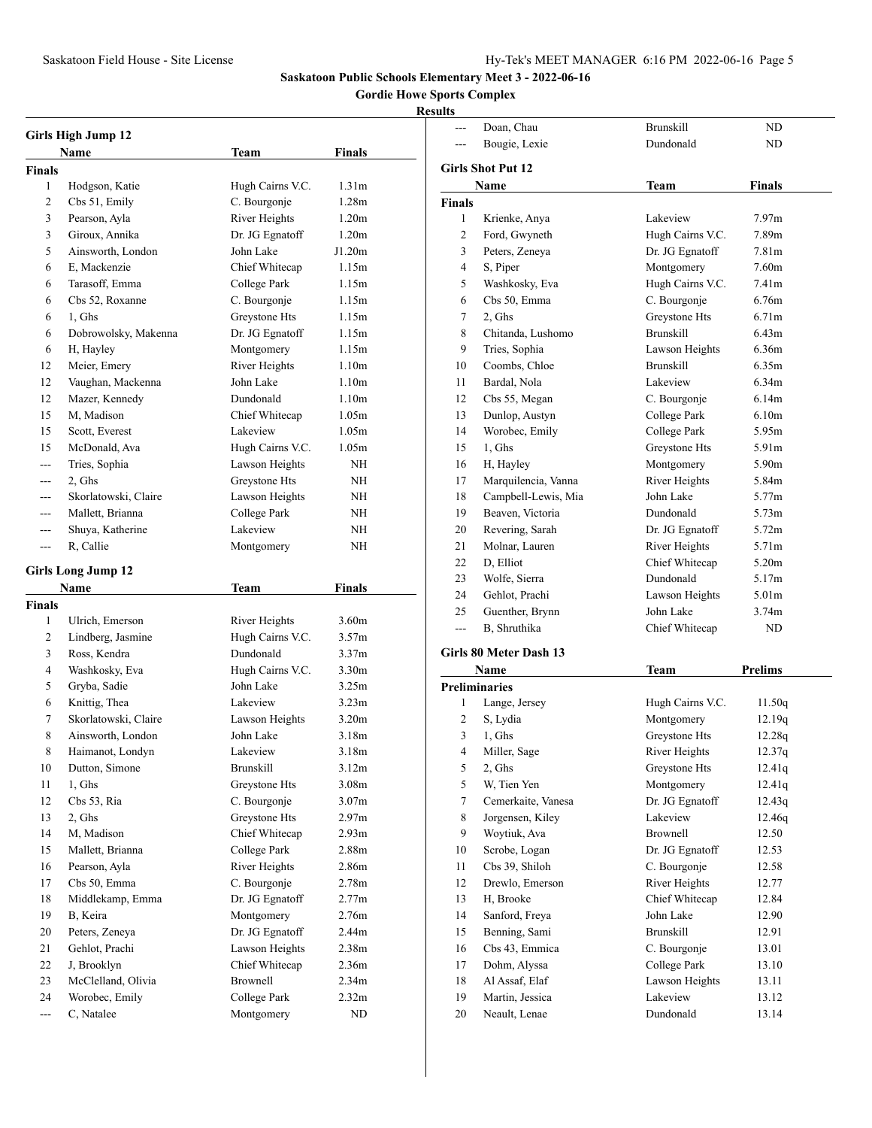--- Doan, Chau Brunskill ND

**Saskatoon Public Schools Elementary Meet 3 - 2022-06-16**

### **Gordie Howe Sports Complex**

|               | <b>Girls High Jump 12</b><br>Name | Team                       | Finals            |  |
|---------------|-----------------------------------|----------------------------|-------------------|--|
| <b>Finals</b> |                                   |                            |                   |  |
| 1             | Hodgson, Katie                    | Hugh Cairns V.C.           | 1.31 <sub>m</sub> |  |
| 2             | Cbs 51, Emily                     | C. Bourgonje               | 1.28 <sub>m</sub> |  |
| 3             | Pearson, Ayla                     | River Heights              | 1.20 <sub>m</sub> |  |
| 3             | Giroux, Annika                    | Dr. JG Egnatoff            | 1.20 <sub>m</sub> |  |
| 5             | Ainsworth, London                 | John Lake                  | J1.20m            |  |
| 6             | E, Mackenzie                      | Chief Whitecap             | 1.15m             |  |
| 6             | Tarasoff, Emma                    | College Park               | 1.15m             |  |
| 6             | Cbs 52, Roxanne                   | C. Bourgonje               | 1.15m             |  |
| 6             | 1, Ghs                            | Greystone Hts              | 1.15m             |  |
| 6             | Dobrowolsky, Makenna              | Dr. JG Egnatoff            | 1.15m             |  |
| 6             | H, Hayley                         | Montgomery                 | 1.15m             |  |
| 12            | Meier, Emery                      | River Heights              | 1.10 <sub>m</sub> |  |
| 12            | Vaughan, Mackenna                 | John Lake                  | 1.10 <sub>m</sub> |  |
| 12            |                                   | Dundonald                  | 1.10 <sub>m</sub> |  |
| 15            | Mazer, Kennedy<br>M, Madison      | Chief Whitecap             | 1.05m             |  |
| 15            | Scott, Everest                    | Lakeview                   | 1.05m             |  |
| 15            | McDonald, Ava                     | Hugh Cairns V.C.           | 1.05m             |  |
|               | Tries, Sophia                     | Lawson Heights             | NΗ                |  |
| ---           |                                   |                            | NΗ                |  |
|               | 2, Ghs                            | Greystone Hts              |                   |  |
| ---           | Skorlatowski, Claire              | Lawson Heights             | NH                |  |
| ---           | Mallett, Brianna                  | College Park               | NH                |  |
| ---           | Shuya, Katherine                  | Lakeview                   | NΗ                |  |
| ---           | R, Callie                         | Montgomery                 | NH                |  |
|               | <b>Girls Long Jump 12</b>         |                            |                   |  |
|               | <b>Name</b>                       | <b>Team</b>                | <b>Finals</b>     |  |
| <b>Finals</b> |                                   |                            |                   |  |
| 1             | Ulrich, Emerson                   | River Heights              | 3.60 <sub>m</sub> |  |
|               |                                   | Hugh Cairns V.C.           |                   |  |
| 2             | Lindberg, Jasmine                 |                            | 3.57m             |  |
| 3             | Ross, Kendra                      | Dundonald                  | 3.37 <sub>m</sub> |  |
| 4             | Washkosky, Eva                    | Hugh Cairns V.C.           | 3.30 <sub>m</sub> |  |
| 5             | Gryba, Sadie                      | John Lake                  | 3.25m             |  |
| 6             | Knittig, Thea                     | Lakeview                   | 3.23 <sub>m</sub> |  |
| 7             | Skorlatowski, Claire              | Lawson Heights             | 3.20 <sub>m</sub> |  |
| 8             | Ainsworth, London                 | John Lake                  | 3.18 <sub>m</sub> |  |
| 8             | Haimanot, Londyn                  | Lakeview                   | 3.18m             |  |
| 10            | Dutton, Simone                    | Brunskill                  | 3.12m             |  |
| 11            | 1, Ghs                            | Greystone Hts              | 3.08m             |  |
| 12            | Cbs 53, Ria                       | C. Bourgonje               | 3.07 <sub>m</sub> |  |
| 13            | 2, Ghs                            | Greystone Hts              | 2.97 <sub>m</sub> |  |
| 14            | M, Madison                        | Chief Whitecap             | 2.93 <sub>m</sub> |  |
| 15            | Mallett, Brianna                  | College Park               | 2.88m             |  |
| 16            | Pearson, Ayla                     | River Heights              | 2.86m             |  |
| 17            | Cbs 50, Emma                      | C. Bourgonje               | 2.78 <sub>m</sub> |  |
| 18            | Middlekamp, Emma                  | Dr. JG Egnatoff            | 2.77m             |  |
| 19            | B, Keira                          | Montgomery                 | 2.76m             |  |
| 20            | Peters, Zeneya                    | Dr. JG Egnatoff            | 2.44m             |  |
| 21            | Gehlot, Prachi                    |                            | 2.38 <sub>m</sub> |  |
| 22            | J, Brooklyn                       | Lawson Heights             | 2.36m             |  |
| 23            | McClelland, Olivia                | Chief Whitecap<br>Brownell | 2.34 <sub>m</sub> |  |
| 24            | Worobec, Emily                    | College Park               | 2.32 <sub>m</sub> |  |

|        | Bougie, Lexie            | Dundonald        | ND                |
|--------|--------------------------|------------------|-------------------|
|        | <b>Girls Shot Put 12</b> |                  |                   |
|        | Name                     | Team             | <b>Finals</b>     |
| Finals |                          |                  |                   |
| 1      | Krienke, Anya            | Lakeview         | 7.97 <sub>m</sub> |
| 2      | Ford, Gwyneth            | Hugh Cairns V.C. | 7.89m             |
| 3      | Peters, Zeneya           | Dr. JG Egnatoff  | 7.81 <sub>m</sub> |
| 4      | S, Piper                 | Montgomery       | 7.60m             |
| 5      | Washkosky, Eva           | Hugh Cairns V.C. | 7.41 <sub>m</sub> |
| 6      | Cbs 50, Emma             | C. Bourgonje     | 6.76m             |
| 7      | 2, Ghs                   | Greystone Hts    | 6.71 <sub>m</sub> |
| 8      | Chitanda, Lushomo        | <b>Brunskill</b> | 6.43m             |
| 9      | Tries, Sophia            | Lawson Heights   | 6.36m             |
| 10     | Coombs, Chloe            | <b>Brunskill</b> | 6.35m             |
| 11     | Bardal, Nola             | Lakeview         | 6.34 <sub>m</sub> |
| 12     | Cbs 55, Megan            | C. Bourgonje     | 6.14m             |
| 13     | Dunlop, Austyn           | College Park     | 6.10 <sub>m</sub> |
| 14     | Worobec, Emily           | College Park     | 5.95m             |
| 15     | 1, Ghs                   | Greystone Hts    | 5.91m             |
| 16     | H, Hayley                | Montgomery       | 5.90m             |
| 17     | Marquilencia, Vanna      | River Heights    | 5.84m             |
| 18     | Campbell-Lewis, Mia      | John Lake        | 5.77m             |
| 19     | Beaven, Victoria         | Dundonald        | 5.73m             |
| 20     | Revering, Sarah          | Dr. JG Egnatoff  | 5.72m             |
| 21     | Molnar, Lauren           | River Heights    | 5.71m             |
| 22     | D, Elliot                | Chief Whitecap   | 5.20m             |
| 23     | Wolfe, Sierra            | Dundonald        | 5.17m             |
| 24     | Gehlot, Prachi           | Lawson Heights   | 5.01 <sub>m</sub> |
| 25     | Guenther, Brynn          | John Lake        | 3.74 <sub>m</sub> |
| ---    | B, Shruthika             | Chief Whitecap   | ND                |
|        |                          |                  |                   |
|        | Girls 80 Meter Dash 13   |                  |                   |
|        | Name                     | <b>Team</b>      | <b>Prelims</b>    |
|        | <b>Preliminaries</b>     |                  |                   |
| 1      | Lange, Jersey            | Hugh Cairns V.C. | 11.50q            |
| 2      | S, Lydia                 | Montgomery       | 12.19q            |
| 3      | 1, Ghs                   | Greystone Hts    | 12.28q            |
| 4      | Miller, Sage             | River Heights    | 12.37q            |
| 5      | 2, Ghs                   | Greystone Hts    | 12.41q            |
| 5      | W, Tien Yen              | Montgomery       | 12.41q            |
| 7      | Cemerkaite, Vanesa       | Dr. JG Egnatoff  | 12.43q            |
| 8      | Jorgensen, Kiley         | Lakeview         | 12.46q            |
| 9      | Woytiuk, Ava             | <b>Brownell</b>  | 12.50             |
| 10     | Scrobe, Logan            | Dr. JG Egnatoff  | 12.53             |
| 11     | Cbs 39, Shiloh           | C. Bourgonje     | 12.58             |
| 12     | Drewlo, Emerson          | River Heights    | 12.77             |
| 13     | H, Brooke                | Chief Whitecap   | 12.84             |
| 14     | Sanford, Freya           | John Lake        | 12.90             |
| 15     | Benning, Sami            | <b>Brunskill</b> | 12.91             |
| 16     | Cbs 43, Emmica           | C. Bourgonje     | 13.01             |
| 17     | Dohm, Alyssa             | College Park     | 13.10             |
| 18     | Al Assaf, Elaf           | Lawson Heights   | 13.11             |
| 19     | Martin, Jessica          | Lakeview         | 13.12             |
| 20     | Neault, Lenae            | Dundonald        | 13.14             |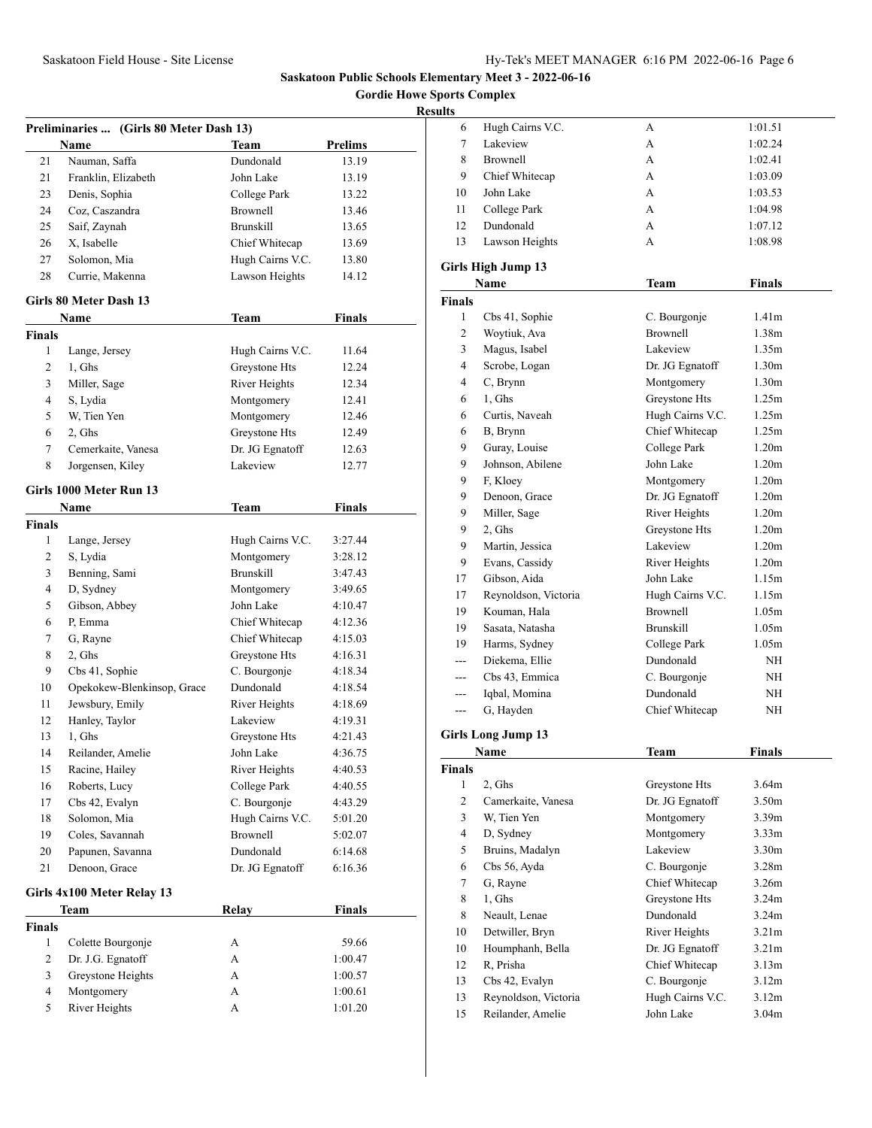**Gordie Howe Sports Complex**

| Preliminaries  (Girls 80 Meter Dash 13) |                            |                  |               |
|-----------------------------------------|----------------------------|------------------|---------------|
|                                         | Name                       | Team             | Prelims       |
| 21                                      | Nauman, Saffa              | Dundonald        | 13.19         |
| 21                                      | Franklin, Elizabeth        | John Lake        | 13.19         |
| 23                                      | Denis, Sophia              | College Park     | 13.22         |
| 24                                      | Coz, Caszandra             | <b>Brownell</b>  | 13.46         |
| 25                                      | Saif, Zaynah               | <b>Brunskill</b> | 13.65         |
| 26                                      | X, Isabelle                | Chief Whitecap   | 13.69         |
| 27                                      | Solomon, Mia               | Hugh Cairns V.C. | 13.80         |
| 28                                      | Currie, Makenna            | Lawson Heights   | 14.12         |
|                                         | Girls 80 Meter Dash 13     |                  |               |
|                                         | Name                       | Team             | <b>Finals</b> |
| Finals                                  |                            |                  |               |
| 1                                       | Lange, Jersey              | Hugh Cairns V.C. | 11.64         |
| 2                                       | 1, Ghs                     | Greystone Hts    | 12.24         |
| 3                                       | Miller, Sage               | River Heights    | 12.34         |
| 4                                       | S, Lydia                   | Montgomery       | 12.41         |
| 5                                       | W. Tien Yen                | Montgomery       | 12.46         |
| 6                                       | 2, Ghs                     | Greystone Hts    | 12.49         |
| 7                                       | Cemerkaite, Vanesa         | Dr. JG Egnatoff  | 12.63         |
| 8                                       | Jorgensen, Kiley           | Lakeview         | 12.77         |
|                                         | Girls 1000 Meter Run 13    |                  |               |
|                                         | Name                       | <b>Team</b>      | <b>Finals</b> |
| <b>Finals</b>                           |                            |                  |               |
| 1                                       | Lange, Jersey              | Hugh Cairns V.C. | 3:27.44       |
| 2                                       | S, Lydia                   | Montgomery       | 3:28.12       |
| 3                                       | Benning, Sami              | <b>Brunskill</b> | 3:47.43       |
| 4                                       | D, Sydney                  | Montgomery       | 3:49.65       |
| 5                                       | Gibson, Abbey              | John Lake        | 4:10.47       |
| 6                                       | P, Emma                    | Chief Whitecap   | 4:12.36       |
| 7                                       | G, Rayne                   | Chief Whitecap   | 4:15.03       |
| 8                                       | 2, Ghs                     | Greystone Hts    | 4:16.31       |
| 9                                       | Cbs 41, Sophie             | C. Bourgonje     | 4:18.34       |
| 10                                      | Opekokew-Blenkinsop, Grace | Dundonald        | 4:18.54       |
| 11                                      | Jewsbury, Emily            | River Heights    | 4:18.69       |
| 12                                      | Hanley, Taylor             | Lakeview         | 4:19.31       |
| 13                                      | 1, Ghs                     | Greystone Hts    | 4:21.43       |
| 14                                      | Reilander, Amelie          | John Lake        | 4:36.75       |
| 15                                      | Racine, Hailey             | River Heights    | 4:40.53       |
| 16                                      | Roberts, Lucy              | College Park     | 4:40.55       |
| 17                                      | Cbs 42, Evalyn             | C. Bourgonje     | 4:43.29       |
| 18                                      | Solomon, Mia               | Hugh Cairns V.C. | 5:01.20       |
| 19                                      | Coles, Savannah            | <b>Brownell</b>  | 5:02.07       |
| 20                                      | Papunen, Savanna           | Dundonald        | 6:14.68       |
| 21                                      | Denoon, Grace              | Dr. JG Egnatoff  | 6:16.36       |
|                                         |                            |                  |               |
|                                         | Girls 4x100 Meter Relay 13 |                  |               |
|                                         | Team                       | <b>Relay</b>     | <b>Finals</b> |
| <b>Finals</b>                           |                            |                  |               |
| 1                                       | Colette Bourgonje          | А                | 59.66         |
| $\mathbf{2}$                            | Dr. J.G. Egnatoff          | А                | 1:00.47       |
| 3                                       | Greystone Heights          | А                | 1:00.57       |
| 4                                       | Montgomery                 | А                | 1:00.61       |
| 5                                       | River Heights              | A                | 1:01.20       |

| 6                  | Hugh Cairns V.C.                          | А                             | 1:01.51                    |
|--------------------|-------------------------------------------|-------------------------------|----------------------------|
| 7                  | Lakeview                                  | A                             | 1:02.24                    |
| 8                  | <b>Brownell</b>                           | A                             | 1:02.41                    |
| 9                  | Chief Whitecap                            | A                             | 1:03.09                    |
| 10                 | John Lake                                 | A                             | 1:03.53                    |
| 11                 | College Park                              | A                             | 1:04.98                    |
| 12                 | Dundonald                                 | A                             | 1:07.12                    |
| 13                 | Lawson Heights                            | A                             | 1:08.98                    |
|                    |                                           |                               |                            |
|                    | <b>Girls High Jump 13</b>                 |                               |                            |
|                    | Name                                      | Team                          | Finals                     |
| <b>Finals</b>      |                                           |                               |                            |
| 1                  | Cbs 41, Sophie                            | C. Bourgonje                  | 1.41 <sub>m</sub>          |
| 2                  | Woytiuk, Ava                              | <b>Brownell</b>               | 1.38m                      |
| 3                  | Magus, Isabel                             | Lakeview                      | 1.35m                      |
| 4                  | Scrobe, Logan                             | Dr. JG Egnatoff               | 1.30 <sub>m</sub>          |
| 4                  | C, Brynn                                  | Montgomery                    | 1.30 <sub>m</sub>          |
| 6                  | 1, Ghs                                    | Greystone Hts                 | 1.25m                      |
| 6                  | Curtis, Naveah                            | Hugh Cairns V.C.              | 1.25m                      |
| 6                  | B, Brynn                                  | Chief Whitecap                | 1.25m                      |
| 9                  | Guray, Louise                             | College Park                  | 1.20 <sub>m</sub>          |
| 9                  | Johnson, Abilene                          | John Lake                     | 1.20 <sub>m</sub>          |
| 9                  | F, Kloey                                  | Montgomery                    | 1.20 <sub>m</sub>          |
| 9                  | Denoon, Grace                             | Dr. JG Egnatoff               | 1.20 <sub>m</sub>          |
| 9                  | Miller, Sage                              | River Heights                 | 1.20 <sub>m</sub>          |
| 9                  | 2, Ghs                                    | Greystone Hts                 | 1.20 <sub>m</sub>          |
| 9                  | Martin, Jessica                           | Lakeview                      | 1.20 <sub>m</sub>          |
| 9                  | Evans, Cassidy                            | River Heights                 | 1.20 <sub>m</sub>          |
| 17                 | Gibson, Aida                              | John Lake                     | 1.15m                      |
| 17                 | Reynoldson, Victoria                      | Hugh Cairns V.C.              | 1.15m                      |
| 19                 | Kouman, Hala                              | <b>Brownell</b>               | 1.05m                      |
| 19                 | Sasata, Natasha                           | <b>Brunskill</b>              | 1.05 <sub>m</sub>          |
| 19                 | Harms, Sydney                             | College Park                  | 1.05 <sub>m</sub>          |
| ---                | Diekema, Ellie                            | Dundonald                     | NΗ                         |
| ---                | Cbs 43, Emmica                            | C. Bourgonje                  | NH                         |
| ---                | Iqbal, Momina                             | Dundonald                     | NH                         |
| ---                | G, Hayden                                 | Chief Whitecap                | NH                         |
|                    | <b>Girls Long Jump 13</b>                 |                               |                            |
|                    | <b>Name</b>                               | Team                          | Finals                     |
|                    |                                           |                               |                            |
| <b>Finals</b><br>1 | 2, Ghs                                    | Greystone Hts                 | 3.64m                      |
| 2                  | Camerkaite, Vanesa                        | Dr. JG Egnatoff               | 3.50m                      |
| 3                  | W. Tien Yen                               | Montgomery                    | 3.39 <sub>m</sub>          |
| 4                  | D, Sydney                                 | Montgomery                    | 3.33 <sub>m</sub>          |
| 5                  | Bruins, Madalyn                           | Lakeview                      | 3.30 <sub>m</sub>          |
| 6                  | Cbs 56, Ayda                              | C. Bourgonje                  | 3.28m                      |
| 7                  | G, Rayne                                  | Chief Whitecap                | 3.26m                      |
| 8                  | 1, Ghs                                    | Greystone Hts                 | 3.24m                      |
|                    | Neault, Lenae                             | Dundonald                     | 3.24m                      |
| 8                  | Detwiller, Bryn                           | River Heights                 | 3.21 <sub>m</sub>          |
| 10                 | Houmphanh, Bella                          | Dr. JG Egnatoff               |                            |
| 10<br>12           | R. Prisha                                 | Chief Whitecap                | 3.21m<br>3.13m             |
| 13                 |                                           |                               | 3.12 <sub>m</sub>          |
|                    | Cbs 42, Evalyn                            | C. Bourgonje                  |                            |
| 13<br>15           | Reynoldson, Victoria<br>Reilander, Amelie | Hugh Cairns V.C.<br>John Lake | 3.12 <sub>m</sub><br>3.04m |
|                    |                                           |                               |                            |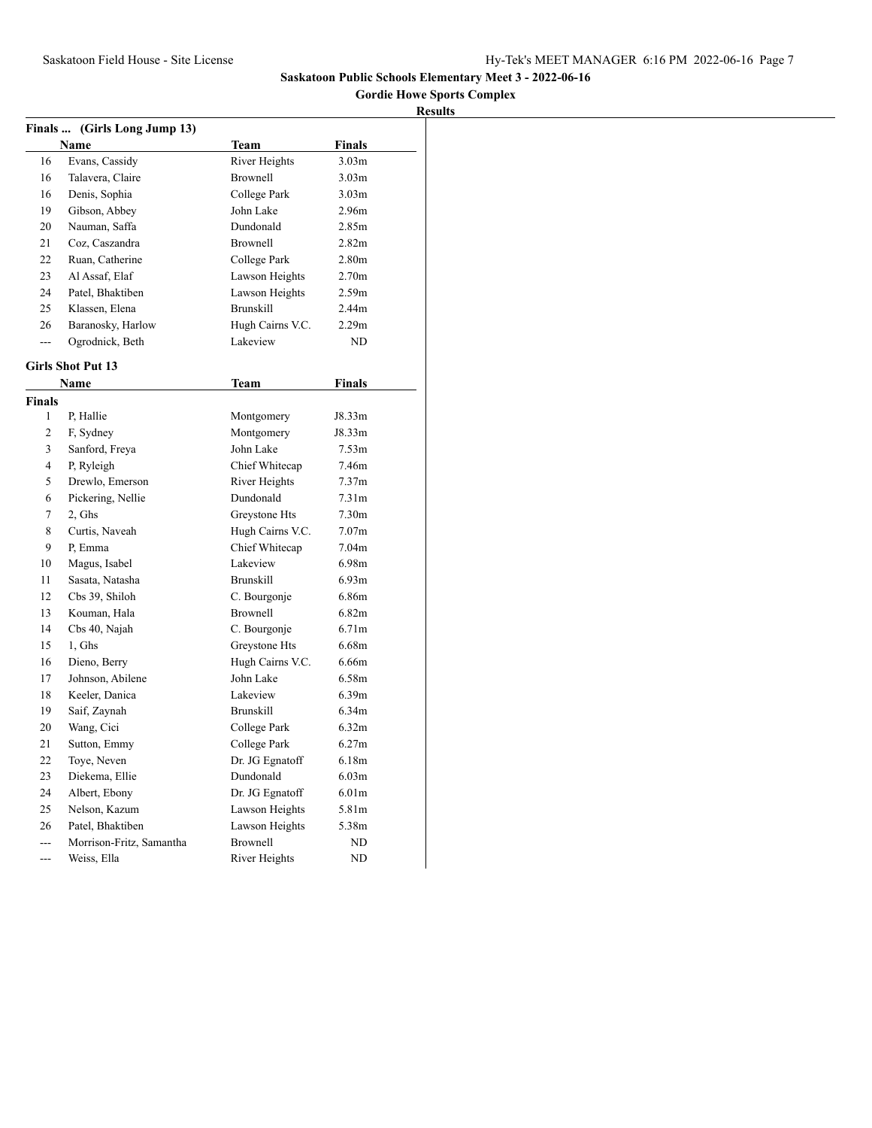## **Gordie Howe Sports Complex**

|                | Finals  (Girls Long Jump 13) |                  |                   |  |
|----------------|------------------------------|------------------|-------------------|--|
|                | <b>Name</b>                  | Team             | Finals            |  |
| 16             | Evans, Cassidy               | River Heights    | 3.03 <sub>m</sub> |  |
| 16             | Talavera, Claire             | <b>Brownell</b>  | 3.03m             |  |
| 16             | Denis, Sophia                | College Park     | 3.03 <sub>m</sub> |  |
| 19             | Gibson, Abbey                | John Lake        | 2.96m             |  |
| 20             | Nauman, Saffa                | Dundonald        | 2.85m             |  |
| 21             | Coz, Caszandra               | Brownell         | 2.82 <sub>m</sub> |  |
| 22             | Ruan, Catherine              | College Park     | 2.80 <sub>m</sub> |  |
| 23             | Al Assaf, Elaf               | Lawson Heights   | 2.70 <sub>m</sub> |  |
| 24             | Patel, Bhaktiben             | Lawson Heights   | 2.59m             |  |
| 25             | Klassen, Elena               | <b>Brunskill</b> | 2.44m             |  |
| 26             | Baranosky, Harlow            | Hugh Cairns V.C. | 2.29m             |  |
| ---            | Ogrodnick, Beth              | Lakeview         | ND                |  |
|                | <b>Girls Shot Put 13</b>     |                  |                   |  |
|                | Name                         | Team             | Finals            |  |
| <b>Finals</b>  |                              |                  |                   |  |
| 1              | P, Hallie                    | Montgomery       | J8.33m            |  |
| $\overline{c}$ | F, Sydney                    | Montgomery       | J8.33m            |  |
| 3              | Sanford, Freya               | John Lake        | 7.53m             |  |
| $\overline{4}$ | P, Ryleigh                   | Chief Whitecap   | 7.46m             |  |
| 5              | Drewlo, Emerson              | River Heights    | 7.37 <sub>m</sub> |  |
| 6              | Pickering, Nellie            | Dundonald        | 7.31 <sub>m</sub> |  |
| 7              | 2, Ghs                       | Greystone Hts    | 7.30 <sub>m</sub> |  |
| 8              | Curtis, Naveah               | Hugh Cairns V.C. | 7.07 <sub>m</sub> |  |
| 9              | P. Emma                      | Chief Whitecap   | 7.04 <sub>m</sub> |  |
| 10             | Magus, Isabel                | Lakeview         | 6.98m             |  |
| 11             | Sasata, Natasha              | <b>Brunskill</b> | 6.93m             |  |
| 12             | Cbs 39, Shiloh               | C. Bourgonje     | 6.86m             |  |
| 13             | Kouman, Hala                 | Brownell         | 6.82m             |  |
| 14             | Cbs 40, Najah                | C. Bourgonje     | 6.71m             |  |
| 15             | 1, Ghs                       | Greystone Hts    | 6.68m             |  |
| 16             | Dieno, Berry                 | Hugh Cairns V.C. | 6.66m             |  |
| 17             | Johnson, Abilene             | John Lake        | 6.58m             |  |
| 18             | Keeler, Danica               | Lakeview         | 6.39m             |  |
| 19             | Saif, Zaynah                 | <b>Brunskill</b> | 6.34m             |  |
| 20             | Wang, Cici                   | College Park     | 6.32m             |  |
| 21             | Sutton, Emmy                 | College Park     | 6.27m             |  |
| 22             | Toye, Neven                  | Dr. JG Egnatoff  | 6.18m             |  |
| 23             | Diekema, Ellie               | Dundonald        | 6.03m             |  |
| 24             | Albert, Ebony                | Dr. JG Egnatoff  | 6.01 <sub>m</sub> |  |
| 25             | Nelson, Kazum                | Lawson Heights   | 5.81m             |  |
| 26             | Patel, Bhaktiben             | Lawson Heights   | 5.38m             |  |
| $\overline{a}$ | Morrison-Fritz, Samantha     | <b>Brownell</b>  | ND                |  |
| $-$ -          | Weiss, Ella                  | River Heights    | ND                |  |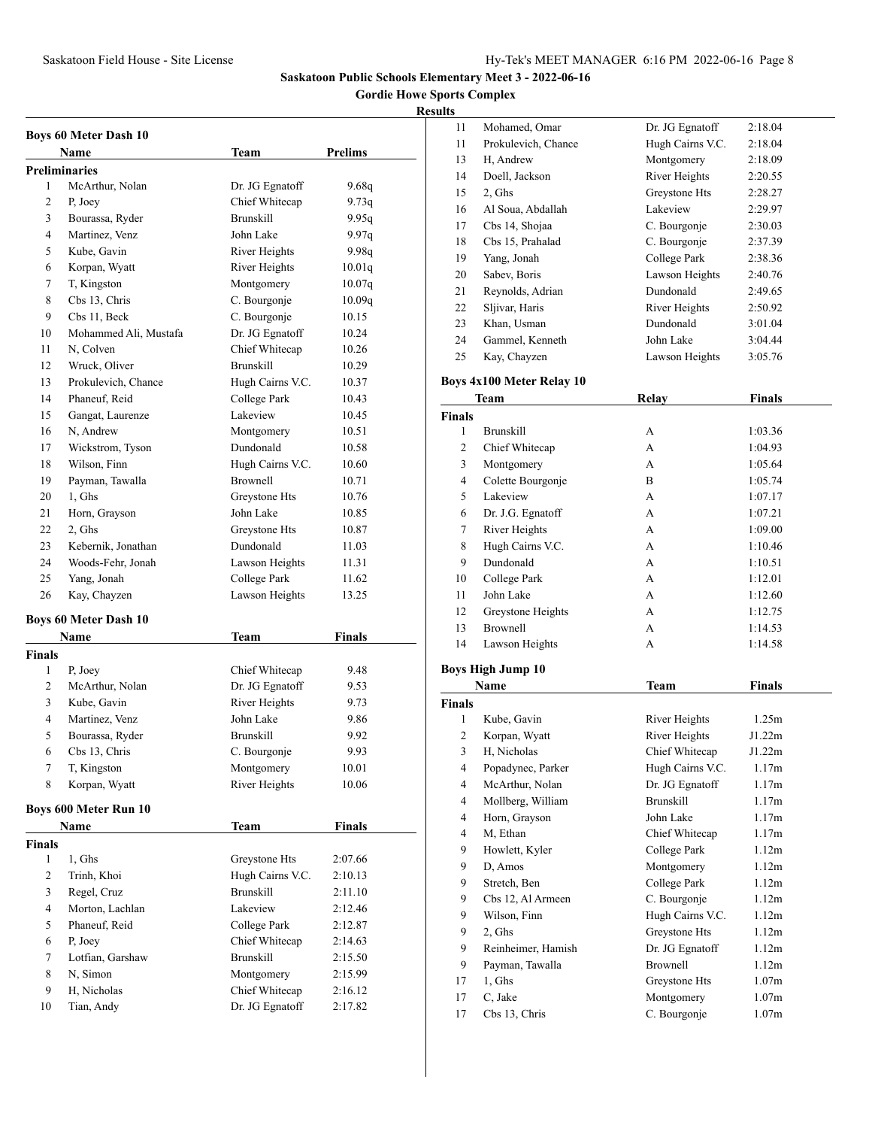**Gordie Howe Sports Complex**

#### **Results**

|               | <b>Boys 60 Meter Dash 10</b> |                  |               |
|---------------|------------------------------|------------------|---------------|
|               | Name                         | Team             | Prelims       |
|               | <b>Preliminaries</b>         |                  |               |
| 1             | McArthur, Nolan              | Dr. JG Egnatoff  | 9.68q         |
| 2             | P. Joey                      | Chief Whitecap   | 9.73q         |
| 3             | Bourassa, Ryder              | <b>Brunskill</b> | 9.95q         |
| 4             | Martinez, Venz               | John Lake        | 9.97q         |
| 5             | Kube, Gavin                  | River Heights    | 9.98q         |
| 6             | Korpan, Wyatt                | River Heights    | 10.01q        |
| 7             | T, Kingston                  | Montgomery       | 10.07q        |
| 8             | Cbs 13, Chris                | C. Bourgonje     | 10.09q        |
| 9             | Cbs 11, Beck                 | C. Bourgonje     | 10.15         |
| 10            | Mohammed Ali, Mustafa        | Dr. JG Egnatoff  | 10.24         |
| 11            | N, Colven                    | Chief Whitecap   | 10.26         |
| 12            | Wruck, Oliver                | <b>Brunskill</b> | 10.29         |
| 13            | Prokulevich, Chance          | Hugh Cairns V.C. | 10.37         |
| 14            | Phaneuf, Reid                | College Park     | 10.43         |
| 15            | Gangat, Laurenze             | Lakeview         | 10.45         |
| 16            | N, Andrew                    | Montgomery       | 10.51         |
| 17            | Wickstrom, Tyson             | Dundonald        | 10.58         |
| 18            | Wilson, Finn                 | Hugh Cairns V.C. | 10.60         |
| 19            | Payman, Tawalla              | <b>Brownell</b>  | 10.71         |
| 20            | 1. Ghs                       | Greystone Hts    | 10.76         |
| 21            | Horn, Grayson                | John Lake        | 10.85         |
| 22            | 2, Ghs                       | Greystone Hts    | 10.87         |
| 23            | Kebernik, Jonathan           | Dundonald        | 11.03         |
| 24            | Woods-Fehr, Jonah            | Lawson Heights   | 11.31         |
| 25            | Yang, Jonah                  | College Park     | 11.62         |
| 26            | Kay, Chayzen                 | Lawson Heights   | 13.25         |
|               | <b>Boys 60 Meter Dash 10</b> |                  |               |
|               | Name                         | <b>Team</b>      | <b>Finals</b> |
| Finals        |                              |                  |               |
| 1             | P, Joey                      | Chief Whitecap   | 9.48          |
| 2             | McArthur, Nolan              | Dr. JG Egnatoff  | 9.53          |
| 3             | Kube, Gavin                  | River Heights    | 9.73          |
| 4             | Martinez, Venz               | John Lake        | 9.86          |
| 5             | Bourassa, Ryder              | <b>Brunskill</b> | 9.92          |
| 6             | Cbs 13, Chris                | C. Bourgonje     | 9.93          |
| 7             | T, Kingston                  | Montgomery       | 10.01         |
| 8             | Korpan, Wyatt                | River Heights    | 10.06         |
|               |                              |                  |               |
|               | <b>Boys 600 Meter Run 10</b> |                  |               |
|               | Name                         | Team             | Finals        |
| <b>Finals</b> |                              |                  |               |
| 1             | 1, Ghs                       | Greystone Hts    | 2:07.66       |
| 2             | Trinh, Khoi                  | Hugh Cairns V.C. | 2:10.13       |
| 3             | Regel, Cruz                  | <b>Brunskill</b> | 2:11.10       |
| 4             | Morton, Lachlan              | Lakeview         | 2:12.46       |
| 5             | Phaneuf, Reid                | College Park     | 2:12.87       |
| 6             | P, Joey                      | Chief Whitecap   | 2:14.63       |
| 7             | Lotfian, Garshaw             | <b>Brunskill</b> | 2:15.50       |
| 8             | N, Simon                     | Montgomery       | 2:15.99       |
| 9             | H, Nicholas                  | Chief Whitecap   | 2:16.12       |
| 10            | Tian, Andy                   | Dr. JG Egnatoff  | 2:17.82       |
|               |                              |                  |               |

| ∍  |                     |                  |         |
|----|---------------------|------------------|---------|
| 11 | Mohamed, Omar       | Dr. JG Egnatoff  | 2:18.04 |
| 11 | Prokulevich, Chance | Hugh Cairns V.C. | 2:18.04 |
| 13 | H, Andrew           | Montgomery       | 2:18.09 |
| 14 | Doell, Jackson      | River Heights    | 2:20.55 |
| 15 | 2, Ghs              | Greystone Hts    | 2:28.27 |
| 16 | Al Soua, Abdallah   | Lakeview         | 2:29.97 |
| 17 | Cbs 14, Shojaa      | C. Bourgonje     | 2:30.03 |
| 18 | Cbs 15, Prahalad    | C. Bourgonje     | 2:37.39 |
| 19 | Yang, Jonah         | College Park     | 2:38.36 |
| 20 | Sabev, Boris        | Lawson Heights   | 2:40.76 |
| 21 | Reynolds, Adrian    | Dundonald        | 2:49.65 |
| 22 | Sljivar, Haris      | River Heights    | 2:50.92 |
| 23 | Khan, Usman         | Dundonald        | 3:01.04 |
| 24 | Gammel, Kenneth     | John Lake        | 3:04.44 |
| 25 | Kay, Chayzen        | Lawson Heights   | 3:05.76 |
|    |                     |                  |         |

### **Boys 4x100 Meter Relay 10**

|                | Team                     | Relay            | <b>Finals</b> |
|----------------|--------------------------|------------------|---------------|
| <b>Finals</b>  |                          |                  |               |
| 1              | <b>Brunskill</b>         | A                | 1:03.36       |
| $\overline{c}$ | Chief Whitecap           | A                | 1:04.93       |
| 3              | Montgomery               | A                | 1:05.64       |
| $\overline{4}$ | Colette Bourgonje        | B                | 1:05.74       |
| 5              | Lakeview                 | A                | 1:07.17       |
| 6              | Dr. J.G. Egnatoff        | A                | 1:07.21       |
| 7              | River Heights            | A                | 1:09.00       |
| 8              | Hugh Cairns V.C.         | A                | 1:10.46       |
| 9              | Dundonald                | A                | 1:10.51       |
| 10             | College Park             | A                | 1:12.01       |
| 11             | John Lake                | A                | 1:12.60       |
| 12             | Greystone Heights        | A                | 1:12.75       |
| 13             | <b>Brownell</b>          | A                | 1:14.53       |
| 14             | Lawson Heights           | A                | 1:14.58       |
|                | <b>Boys High Jump 10</b> |                  |               |
|                | Name                     | <b>Team</b>      | <b>Finals</b> |
| <b>Finals</b>  |                          |                  |               |
| 1              | Kube, Gavin              | River Heights    | 1.25m         |
| 2              | Korpan, Wyatt            | River Heights    | J1.22m        |
| 3              | H, Nicholas              | Chief Whitecap   | J1.22m        |
| $\overline{4}$ | Popadynec, Parker        | Hugh Cairns V.C. | 1.17m         |
| 4              | McArthur, Nolan          | Dr. JG Egnatoff  | 1.17m         |
| 4              | Mollberg, William        | <b>Brunskill</b> | 1.17m         |
| $\overline{4}$ | Horn, Grayson            | John Lake        | 1.17m         |
| 4              | M, Ethan                 | Chief Whitecap   | 1.17m         |
| 9              | Howlett, Kyler           | College Park     | 1.12m         |

 D, Amos Montgomery 1.12m 9 Stretch, Ben College Park 1.12m 9 Cbs 12, Al Armeen C. Bourgonje 1.12m 9 Wilson, Finn Hugh Cairns V.C. 1.12m 2, Ghs Greystone Hts 1.12m 9 Reinheimer, Hamish Dr. JG Egnatoff 1.12m Payman, Tawalla Brownell 1.12m 17 1, Ghs Greystone Hts 1.07m 17 C, Jake Montgomery 1.07m 17 Cbs 13, Chris C. Bourgonje 1.07m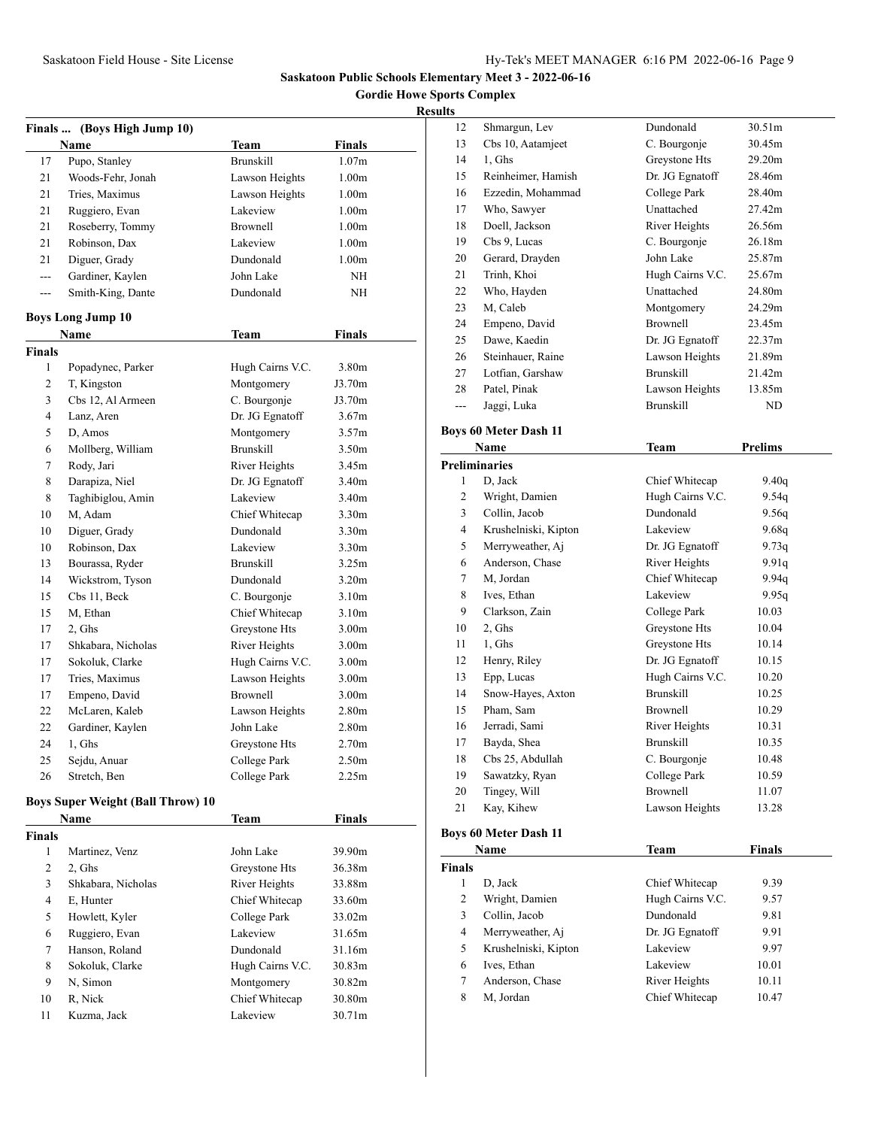**Gordie Howe Sports Complex**

### **Results**

|                | Finals  (Boys High Jump 10)              |                  |                   |  |
|----------------|------------------------------------------|------------------|-------------------|--|
|                | Name                                     | Team             | <b>Finals</b>     |  |
| 17             | Pupo, Stanley                            | <b>Brunskill</b> | 1.07 <sub>m</sub> |  |
| 21             | Woods-Fehr, Jonah                        | Lawson Heights   | 1.00 <sub>m</sub> |  |
| 21             | Tries, Maximus                           | Lawson Heights   | 1.00 <sub>m</sub> |  |
| 21             | Ruggiero, Evan                           | Lakeview         | 1.00 <sub>m</sub> |  |
| 21             | Roseberry, Tommy                         | <b>Brownell</b>  | 1.00 <sub>m</sub> |  |
| 21             | Robinson, Dax                            | Lakeview         | 1.00 <sub>m</sub> |  |
| 21             | Diguer, Grady                            | Dundonald        | 1.00 <sub>m</sub> |  |
| $---$          | Gardiner, Kaylen                         | John Lake        | NH                |  |
| $---$          | Smith-King, Dante                        | Dundonald        | NH                |  |
|                | <b>Boys Long Jump 10</b>                 |                  |                   |  |
|                | Name                                     | Team             | <b>Finals</b>     |  |
| Finals         |                                          |                  |                   |  |
| 1              | Popadynec, Parker                        | Hugh Cairns V.C. | 3.80 <sub>m</sub> |  |
| $\overline{2}$ | T, Kingston                              | Montgomery       | J3.70m            |  |
| 3              | Cbs 12. Al Armeen                        | C. Bourgonje     | J3.70m            |  |
| 4              | Lanz, Aren                               | Dr. JG Egnatoff  | 3.67 <sub>m</sub> |  |
| 5              | D, Amos                                  | Montgomery       | 3.57m             |  |
| 6              | Mollberg, William                        | <b>Brunskill</b> | 3.50 <sub>m</sub> |  |
| 7              | Rody, Jari                               | River Heights    | 3.45m             |  |
| 8              | Darapiza, Niel                           | Dr. JG Egnatoff  | 3.40 <sub>m</sub> |  |
| 8              | Taghibiglou, Amin                        | Lakeview         | 3.40 <sub>m</sub> |  |
| 10             | M, Adam                                  | Chief Whitecap   | 3.30 <sub>m</sub> |  |
| 10             | Diguer, Grady                            | Dundonald        | 3.30 <sub>m</sub> |  |
| 10             | Robinson, Dax                            | Lakeview         | 3.30 <sub>m</sub> |  |
| 13             | Bourassa, Ryder                          | <b>Brunskill</b> | 3.25m             |  |
| 14             | Wickstrom, Tyson                         | Dundonald        | 3.20 <sub>m</sub> |  |
| 15             | Cbs 11, Beck                             | C. Bourgonje     | 3.10 <sub>m</sub> |  |
| 15             | M, Ethan                                 | Chief Whitecap   | 3.10 <sub>m</sub> |  |
| 17             | 2, Ghs                                   | Greystone Hts    | 3.00 <sub>m</sub> |  |
| 17             | Shkabara, Nicholas                       | River Heights    | 3.00 <sub>m</sub> |  |
| 17             | Sokoluk, Clarke                          | Hugh Cairns V.C. | 3.00 <sub>m</sub> |  |
| 17             | Tries, Maximus                           | Lawson Heights   | 3.00 <sub>m</sub> |  |
| 17             | Empeno, David                            | Brownell         | 3.00 <sub>m</sub> |  |
| 22             | McLaren, Kaleb                           | Lawson Heights   | 2.80 <sub>m</sub> |  |
| 22             | Gardiner, Kaylen                         | John Lake        | 2.80 <sub>m</sub> |  |
| 24             | 1. Ghs                                   | Greystone Hts    | 2.70 <sub>m</sub> |  |
| 25             | Sejdu, Anuar                             | College Park     | 2.50 <sub>m</sub> |  |
| 26             | Stretch, Ben                             | College Park     | 2.25m             |  |
|                | <b>Boys Super Weight (Ball Throw) 10</b> |                  |                   |  |
|                | Name                                     | <b>Team</b>      | Finals            |  |
| Finals         |                                          |                  |                   |  |
| 1              | Martinez, Venz                           | John Lake        | 39.90m            |  |
| 2              | 2, Ghs                                   | Greystone Hts    | 36.38m            |  |
| 3              | Shkabara, Nicholas                       | River Heights    | 33.88m            |  |
| 4              | E, Hunter                                | Chief Whitecap   | 33.60m            |  |
| 5              | Howlett, Kyler                           | College Park     | 33.02m            |  |
| 6              | Ruggiero, Evan                           | Lakeview         | 31.65m            |  |
| $\tau$         | Hanson, Roland                           | Dundonald        | 31.16m            |  |
| 8              | Sokoluk, Clarke                          | Hugh Cairns V.C. | 30.83m            |  |
| 9              | N, Simon                                 | Montgomery       | 30.82m            |  |
| 10             | R, Nick                                  | Chief Whitecap   | 30.80m            |  |
| 11             | Kuzma, Jack                              | Lakeview         | 30.71m            |  |
|                |                                          |                  |                   |  |

| j.  |                    |                  |                    |
|-----|--------------------|------------------|--------------------|
| 12  | Shmargun, Lev      | Dundonald        | 30.51 <sub>m</sub> |
| 13  | Cbs 10, Aatamjeet  | C. Bourgonje     | 30.45m             |
| 14  | 1, Ghs             | Greystone Hts    | 29.20m             |
| 15  | Reinheimer, Hamish | Dr. JG Egnatoff  | 28.46m             |
| 16  | Ezzedin, Mohammad  | College Park     | 28.40m             |
| 17  | Who, Sawyer        | Unattached       | 27.42m             |
| 18  | Doell, Jackson     | River Heights    | 26.56m             |
| 19  | Cbs 9, Lucas       | C. Bourgonje     | 26.18m             |
| 20  | Gerard, Drayden    | John Lake        | 25.87m             |
| 21  | Trinh, Khoi        | Hugh Cairns V.C. | 25.67m             |
| 22  | Who, Hayden        | Unattached       | 24.80m             |
| 23  | M, Caleb           | Montgomery       | 24.29m             |
| 24  | Empeno, David      | Brownell         | 23.45m             |
| 25  | Dawe, Kaedin       | Dr. JG Egnatoff  | 22.37m             |
| 26  | Steinhauer, Raine  | Lawson Heights   | 21.89m             |
| 27  | Lotfian, Garshaw   | <b>Brunskill</b> | 21.42m             |
| 28  | Patel, Pinak       | Lawson Heights   | 13.85m             |
| --- | Jaggi, Luka        | <b>Brunskill</b> | ND                 |
|     |                    |                  |                    |

### **Boys 60 Meter Dash 11**

|    | Name                 | Team             | <b>Prelims</b> |  |
|----|----------------------|------------------|----------------|--|
|    | <b>Preliminaries</b> |                  |                |  |
| 1  | D, Jack              | Chief Whitecap   | 9.40q          |  |
| 2  | Wright, Damien       | Hugh Cairns V.C. | 9.54q          |  |
| 3  | Collin, Jacob        | Dundonald        | 9.56q          |  |
| 4  | Krushelniski, Kipton | Lakeview         | 9.68q          |  |
| 5  | Merryweather, Aj     | Dr. JG Egnatoff  | 9.73q          |  |
| 6  | Anderson, Chase      | River Heights    | 9.91q          |  |
| 7  | M, Jordan            | Chief Whitecap   | 9.94q          |  |
| 8  | Ives, Ethan          | Lakeview         | 9.95q          |  |
| 9  | Clarkson, Zain       | College Park     | 10.03          |  |
| 10 | 2, Ghs               | Greystone Hts    | 10.04          |  |
| 11 | 1, Ghs               | Greystone Hts    | 10.14          |  |
| 12 | Henry, Riley         | Dr. JG Egnatoff  | 10.15          |  |
| 13 | Epp, Lucas           | Hugh Cairns V.C. | 10.20          |  |
| 14 | Snow-Hayes, Axton    | <b>Brunskill</b> | 10.25          |  |
| 15 | Pham, Sam            | <b>Brownell</b>  | 10.29          |  |
| 16 | Jerradi, Sami        | River Heights    | 10.31          |  |
| 17 | Bayda, Shea          | <b>Brunskill</b> | 10.35          |  |
| 18 | Cbs 25, Abdullah     | C. Bourgonje     | 10.48          |  |
| 19 | Sawatzky, Ryan       | College Park     | 10.59          |  |
| 20 | Tingey, Will         | <b>Brownell</b>  | 11.07          |  |
| 21 | Kay, Kihew           | Lawson Heights   | 13.28          |  |
|    |                      |                  |                |  |

# **Boys 60 Meter Dash 11**

|               | Name                 | Team             | <b>Finals</b> |  |
|---------------|----------------------|------------------|---------------|--|
| <b>Finals</b> |                      |                  |               |  |
| 1             | D. Jack              | Chief Whitecap   | 9.39          |  |
| 2             | Wright, Damien       | Hugh Cairns V.C. | 9.57          |  |
| 3             | Collin, Jacob        | Dundonald        | 9.81          |  |
| 4             | Merryweather, Aj     | Dr. JG Egnatoff  | 9.91          |  |
| 5             | Krushelniski, Kipton | Lakeview         | 9.97          |  |
| 6             | Ives, Ethan          | Lakeview         | 10.01         |  |
| 7             | Anderson, Chase      | River Heights    | 10.11         |  |
| 8             | M, Jordan            | Chief Whitecap   | 10.47         |  |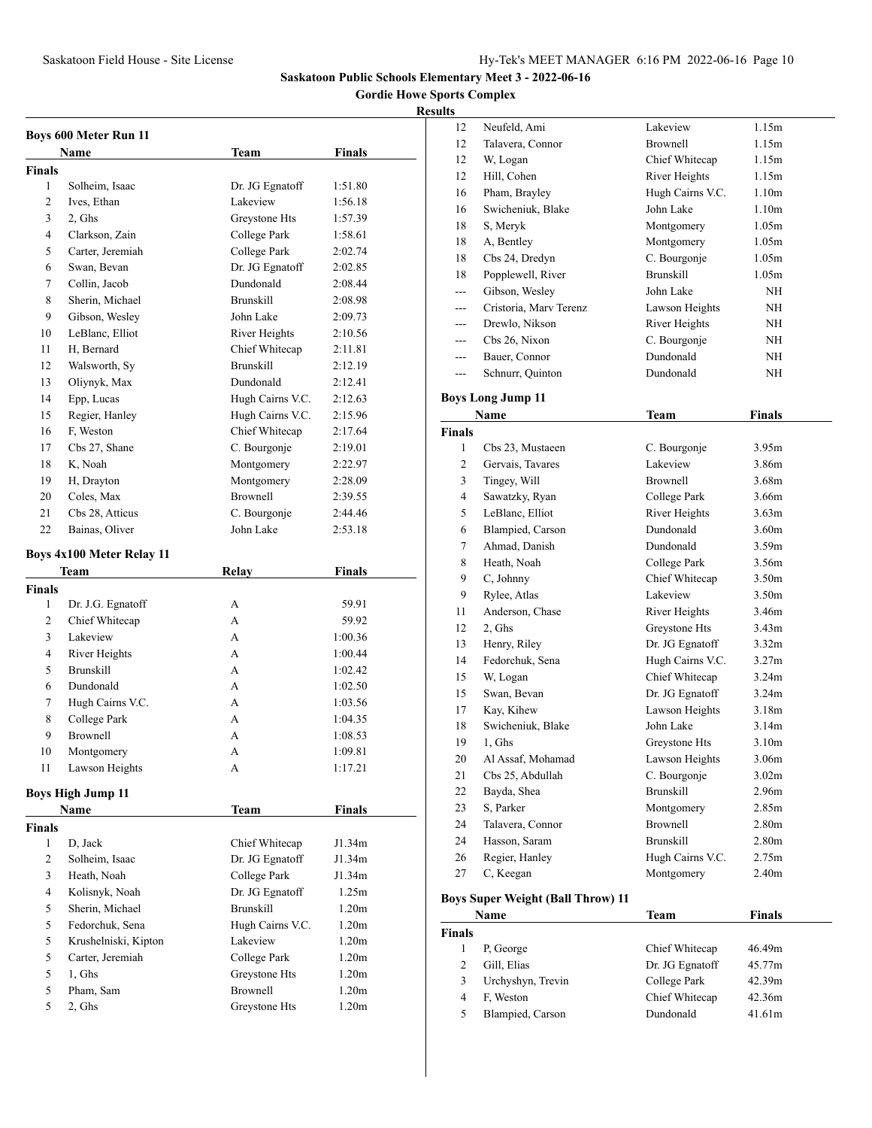**Gordie Howe Sports Complex**

|               | <b>Boys 600 Meter Run 11</b>     |                  |                   |
|---------------|----------------------------------|------------------|-------------------|
|               | Name                             | Team             | Finals            |
| <b>Finals</b> |                                  |                  |                   |
| 1             | Solheim, Isaac                   | Dr. JG Egnatoff  | 1:51.80           |
| 2             | Ives, Ethan                      | Lakeview         | 1:56.18           |
| 3             | 2, Ghs                           | Greystone Hts    | 1:57.39           |
| 4             | Clarkson, Zain                   | College Park     | 1:58.61           |
| 5             | Carter, Jeremiah                 | College Park     | 2:02.74           |
| 6             | Swan. Bevan                      | Dr. JG Egnatoff  | 2:02.85           |
| 7             | Collin, Jacob                    | Dundonald        | 2:08.44           |
| 8             | Sherin, Michael                  | <b>Brunskill</b> | 2:08.98           |
| 9             | Gibson, Wesley                   | John Lake        | 2:09.73           |
| 10            | LeBlanc, Elliot                  | River Heights    | 2:10.56           |
| 11            | H, Bernard                       | Chief Whitecap   | 2:11.81           |
| 12            | Walsworth, Sy                    | <b>Brunskill</b> | 2:12.19           |
| 13            | Oliynyk, Max                     | Dundonald        | 2:12.41           |
| 14            | Epp, Lucas                       | Hugh Cairns V.C. | 2:12.63           |
| 15            | Regier, Hanley                   | Hugh Cairns V.C. | 2:15.96           |
| 16            | F. Weston                        | Chief Whitecap   | 2:17.64           |
| 17            | Cbs 27, Shane                    | C. Bourgonje     | 2:19.01           |
| 18            | K, Noah                          | Montgomery       | 2:22.97           |
| 19            | H, Drayton                       | Montgomery       | 2:28.09           |
| 20            | Coles, Max                       | <b>Brownell</b>  | 2:39.55           |
| 21            | Cbs 28, Atticus                  | C. Bourgonje     | 2:44.46           |
| 22            | Bainas, Oliver                   | John Lake        | 2:53.18           |
|               |                                  |                  |                   |
|               | <b>Boys 4x100 Meter Relay 11</b> |                  |                   |
|               | Team                             | <b>Relay</b>     | <b>Finals</b>     |
| <b>Finals</b> |                                  |                  |                   |
|               |                                  |                  |                   |
| 1             | Dr. J.G. Egnatoff                | А                | 59.91             |
| 2             | Chief Whitecap                   | A                | 59.92             |
| 3             | Lakeview                         | A                | 1:00.36           |
| 4             | River Heights                    | A                | 1:00.44           |
| 5             | <b>Brunskill</b>                 | А                | 1:02.42           |
| 6             | Dundonald                        | A                | 1:02.50           |
| 7             | Hugh Cairns V.C.                 | A                | 1:03.56           |
| 8             | College Park                     | $\mathbf{A}$     | 1:04.35           |
| 9             | <b>Brownell</b>                  | A                | 1:08.53           |
| 10            | Montgomery                       | A                | 1:09.81           |
| 11            | Lawson Heights                   | А                | 1:17.21           |
|               | <b>Boys High Jump 11</b>         |                  |                   |
|               | Name                             | <b>Team</b>      | Finals            |
| Finals        |                                  |                  |                   |
| 1             | D, Jack                          | Chief Whitecap   | J1.34m            |
| 2             | Solheim, Isaac                   | Dr. JG Egnatoff  | J1.34m            |
| 3             | Heath, Noah                      | College Park     | J1.34m            |
| 4             | Kolisnyk, Noah                   | Dr. JG Egnatoff  | 1.25m             |
| 5             | Sherin, Michael                  | <b>Brunskill</b> | 1.20 <sub>m</sub> |
| 5             | Fedorchuk, Sena                  | Hugh Cairns V.C. | 1.20 <sub>m</sub> |
| 5             | Krushelniski, Kipton             | Lakeview         | 1.20 <sub>m</sub> |
| 5             | Carter, Jeremiah                 | College Park     | 1.20 <sub>m</sub> |
| 5             | 1, Ghs                           | Greystone Hts    | 1.20 <sub>m</sub> |
| 5             | Pham, Sam                        | Brownell         | 1.20 <sub>m</sub> |

| <u>sunts</u>   |                                                  |                  |                   |
|----------------|--------------------------------------------------|------------------|-------------------|
| 12             | Neufeld, Ami                                     | Lakeview         | 1.15m             |
| 12             | Talavera, Connor                                 | <b>Brownell</b>  | 1.15m             |
| 12             | W, Logan                                         | Chief Whitecap   | 1.15m             |
| 12             | Hill, Cohen                                      | River Heights    | 1.15m             |
| 16             | Pham, Brayley                                    | Hugh Cairns V.C. | 1.10 <sub>m</sub> |
| 16             | Swicheniuk, Blake                                | John Lake        | 1.10 <sub>m</sub> |
| 18             | S, Meryk                                         | Montgomery       | 1.05m             |
| 18             | A, Bentley                                       | Montgomery       | 1.05m             |
| 18             | Cbs 24, Dredyn                                   | C. Bourgonje     | 1.05m             |
| 18             | Popplewell, River                                | <b>Brunskill</b> | 1.05m             |
| ---            | Gibson, Wesley                                   | John Lake        | NH                |
|                | Cristoria, Marv Terenz                           | Lawson Heights   | NΗ                |
|                | Drewlo, Nikson                                   | River Heights    | NH                |
| $---$          | Cbs 26, Nixon                                    | C. Bourgonje     | NΗ                |
| $---$          | Bauer, Connor                                    | Dundonald        | NΗ                |
| ---            | Schnurr, Quinton                                 | Dundonald        | NΗ                |
|                |                                                  |                  |                   |
|                | <b>Boys Long Jump 11</b>                         |                  |                   |
|                | Name                                             | <b>Team</b>      | Finals            |
| <b>Finals</b>  |                                                  |                  |                   |
| 1              | Cbs 23, Mustaeen                                 | C. Bourgonje     | 3.95 <sub>m</sub> |
| $\overline{c}$ | Gervais, Tavares                                 | Lakeview         | 3.86m             |
| 3              | Tingey, Will                                     | <b>Brownell</b>  | 3.68m             |
| $\overline{4}$ | Sawatzky, Ryan                                   | College Park     | 3.66m             |
| 5              | LeBlanc, Elliot                                  | River Heights    | 3.63 <sub>m</sub> |
| 6              | Blampied, Carson                                 | Dundonald        | 3.60 <sub>m</sub> |
| 7              | Ahmad, Danish                                    | Dundonald        | 3.59 <sub>m</sub> |
| 8              | Heath, Noah                                      | College Park     | 3.56m             |
| 9              | C, Johnny                                        | Chief Whitecap   | 3.50m             |
| 9              | Rylee, Atlas                                     | Lakeview         | 3.50 <sub>m</sub> |
| 11             | Anderson, Chase                                  | River Heights    | 3.46m             |
| 12             | 2, Ghs                                           | Greystone Hts    | 3.43 <sub>m</sub> |
| 13             | Henry, Riley                                     | Dr. JG Egnatoff  | 3.32 <sub>m</sub> |
| 14             | Fedorchuk, Sena                                  | Hugh Cairns V.C. | 3.27 <sub>m</sub> |
| 15             | W, Logan                                         | Chief Whitecap   | 3.24m             |
| 15             | Swan, Bevan                                      | Dr. JG Egnatoff  | 3.24 <sub>m</sub> |
| 17             | Kay, Kihew                                       | Lawson Heights   | 3.18 <sub>m</sub> |
| 18             | Swicheniuk, Blake                                | John Lake        | 3.14m             |
| 19             | 1, Ghs                                           | Greystone Hts    | 3.10 <sub>m</sub> |
| 20             | Al Assaf, Mohamad                                | Lawson Heights   | 3.06m             |
| 21             | Cbs 25, Abdullah                                 | C. Bourgonje     | 3.02m             |
| 22             | Bayda, Shea                                      | <b>Brunskill</b> | 2.96m             |
| 23             | S, Parker                                        | Montgomery       | 2.85m             |
| 24             | Talavera, Connor                                 | <b>Brownell</b>  | 2.80m             |
| 24             | Hasson, Saram                                    | <b>Brunskill</b> | 2.80 <sub>m</sub> |
| 26             | Regier, Hanley                                   | Hugh Cairns V.C. | 2.75m             |
| 27             | C, Keegan                                        | Montgomery       | 2.40 <sub>m</sub> |
|                |                                                  |                  |                   |
|                | <b>Boys Super Weight (Ball Throw) 11</b><br>Name | <b>Team</b>      | Finals            |
|                |                                                  |                  |                   |

|               | Name              | Team            | Finals |  |
|---------------|-------------------|-----------------|--------|--|
| <b>Finals</b> |                   |                 |        |  |
|               | P. George         | Chief Whitecap  | 46.49m |  |
|               | Gill, Elias       | Dr. JG Egnatoff | 45.77m |  |
| 3             | Urchyshyn, Trevin | College Park    | 42.39m |  |
| 4             | F. Weston         | Chief Whitecap  | 42.36m |  |
| 5             | Blampied, Carson  | Dundonald       | 41.61m |  |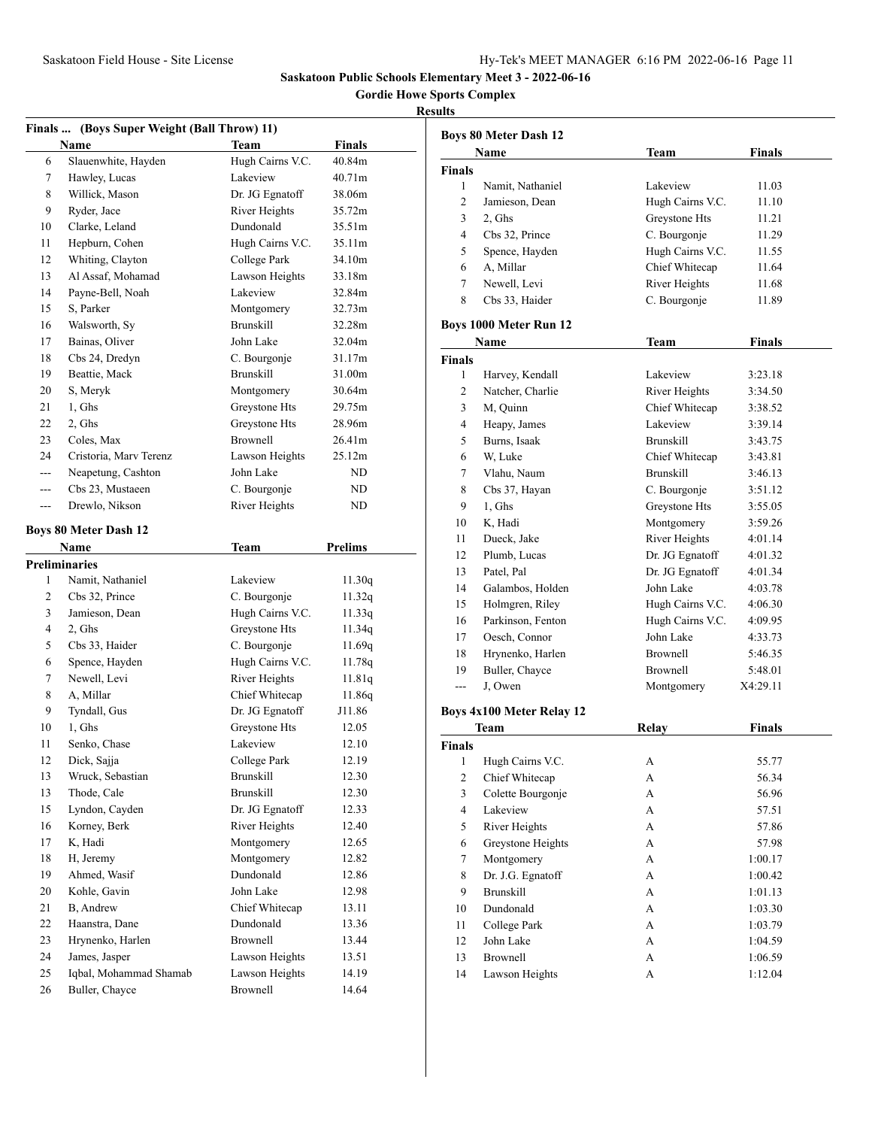**Gordie Howe Sports Complex**

### **Results**

|          | Finals  (Boys Super Weight (Ball Throw) 11) |                            |                |
|----------|---------------------------------------------|----------------------------|----------------|
|          | Name                                        | <b>Team</b>                | <b>Finals</b>  |
| 6        | Slauenwhite, Hayden                         | Hugh Cairns V.C.           | 40.84m         |
| 7        | Hawley, Lucas                               | Lakeview                   | 40.71m         |
| 8        | Willick, Mason                              | Dr. JG Egnatoff            | 38.06m         |
| 9        | Ryder, Jace                                 | River Heights              | 35.72m         |
| 10       | Clarke, Leland                              | Dundonald                  | 35.51m         |
| 11       | Hepburn, Cohen                              | Hugh Cairns V.C.           | 35.11m         |
| 12       | Whiting, Clayton                            | College Park               | 34.10m         |
| 13       | Al Assaf, Mohamad                           | Lawson Heights             | 33.18m         |
| 14       | Payne-Bell, Noah                            | Lakeview                   | 32.84m         |
| 15       | S, Parker                                   | Montgomery                 | 32.73m         |
| 16       | Walsworth, Sy                               | <b>Brunskill</b>           | 32.28m         |
| 17       | Bainas, Oliver                              | John Lake                  | 32.04m         |
| 18       | Cbs 24, Dredyn                              | C. Bourgonje               | 31.17m         |
| 19       | Beattie, Mack                               | <b>Brunskill</b>           | 31.00m         |
| 20       | S, Meryk                                    | Montgomery                 | 30.64m         |
| 21       | 1, Ghs                                      | Greystone Hts              | 29.75m         |
| 22       | 2, Ghs                                      | Greystone Hts              | 28.96m         |
| 23       | Coles, Max                                  | <b>Brownell</b>            | 26.41m         |
| 24       | Cristoria, Mary Terenz                      | Lawson Heights             | 25.12m         |
| ---      | Neapetung, Cashton                          | John Lake                  | ND             |
| ---      | Cbs 23, Mustaeen                            | C. Bourgonje               | ND             |
| ---      | Drewlo, Nikson                              | River Heights              | ND             |
|          |                                             |                            |                |
|          | <b>Boys 80 Meter Dash 12</b>                |                            |                |
|          | Name                                        | Team                       | <b>Prelims</b> |
|          | <b>Preliminaries</b>                        |                            |                |
|          | Namit, Nathaniel                            |                            |                |
| 1        |                                             | Lakeview                   | 11.30q         |
| 2        | Cbs 32, Prince                              | C. Bourgonje               | 11.32q         |
| 3        | Jamieson, Dean                              | Hugh Cairns V.C.           | 11.33q         |
| 4        | 2, Ghs                                      | Greystone Hts              | 11.34q         |
| 5        | Cbs 33, Haider                              | C. Bourgonje               | 11.69q         |
| 6        | Spence, Hayden                              | Hugh Cairns V.C.           | 11.78q         |
| 7        | Newell, Levi                                | River Heights              | 11.81q         |
| 8        | A, Millar                                   | Chief Whitecap             | 11.86q         |
| 9        | Tyndall, Gus                                | Dr. JG Egnatoff            | J11.86         |
| 10       | 1, Ghs                                      | Greystone Hts              | 12.05          |
| 11       | Senko, Chase                                | Lakeview                   | 12.10          |
| 12       | Dick, Sajja                                 | College Park               | 12.19          |
| 13       | Wruck, Sebastian                            | Brunskill                  | 12.30          |
| 13       | Thode, Cale                                 | <b>Brunskill</b>           | 12.30          |
| 15       | Lyndon, Cayden                              | Dr. JG Egnatoff            | 12.33          |
| 16       | Korney, Berk                                | River Heights              | 12.40          |
| 17       | K, Hadi                                     | Montgomery                 | 12.65          |
| 18       | H, Jeremy                                   | Montgomery                 | 12.82          |
| 19       | Ahmed, Wasif                                | Dundonald                  | 12.86          |
| 20       | Kohle, Gavin                                | John Lake                  | 12.98          |
| 21       | B, Andrew                                   | Chief Whitecap             | 13.11          |
| 22       | Haanstra, Dane                              | Dundonald                  | 13.36          |
| 23       | Hrynenko, Harlen                            | <b>Brownell</b>            | 13.44          |
| 24       | James, Jasper                               | Lawson Heights             | 13.51          |
| 25<br>26 | Iqbal, Mohammad Shamab<br>Buller, Chayce    | Lawson Heights<br>Brownell | 14.19<br>14.64 |

|                         | <b>Boys 80 Meter Dash 12</b>     |                  |               |  |
|-------------------------|----------------------------------|------------------|---------------|--|
|                         | Name                             | Team             | <b>Finals</b> |  |
| <b>Finals</b>           |                                  |                  |               |  |
| 1                       | Namit, Nathaniel                 | Lakeview         | 11.03         |  |
| 2                       | Jamieson, Dean                   | Hugh Cairns V.C. | 11.10         |  |
| 3                       | 2, Ghs                           | Greystone Hts    | 11.21         |  |
| $\overline{4}$          | Cbs 32, Prince                   | C. Bourgonje     | 11.29         |  |
| 5                       | Spence, Hayden                   | Hugh Cairns V.C. | 11.55         |  |
| 6                       | A, Millar                        | Chief Whitecap   | 11.64         |  |
| 7                       | Newell, Levi                     | River Heights    | 11.68         |  |
| 8                       | Cbs 33, Haider                   | C. Bourgonje     | 11.89         |  |
|                         | Boys 1000 Meter Run 12           |                  |               |  |
|                         | Name                             | Team             | <b>Finals</b> |  |
| <b>Finals</b>           |                                  |                  |               |  |
| 1                       | Harvey, Kendall                  | Lakeview         | 3:23.18       |  |
| 2                       | Natcher, Charlie                 | River Heights    | 3:34.50       |  |
| 3                       | M, Quinn                         | Chief Whitecap   | 3:38.52       |  |
| 4                       | Heapy, James                     | Lakeview         | 3:39.14       |  |
| 5                       | Burns, Isaak                     | <b>Brunskill</b> | 3:43.75       |  |
| 6                       | W, Luke                          | Chief Whitecap   | 3:43.81       |  |
| 7                       | Vlahu, Naum                      | <b>Brunskill</b> | 3:46.13       |  |
| 8                       | Cbs 37, Hayan                    | C. Bourgonje     | 3:51.12       |  |
| 9                       | 1, Ghs                           | Greystone Hts    | 3:55.05       |  |
| 10                      | K, Hadi                          | Montgomery       | 3:59.26       |  |
| 11                      | Dueck, Jake                      | River Heights    | 4:01.14       |  |
| 12                      | Plumb, Lucas                     | Dr. JG Egnatoff  | 4:01.32       |  |
| 13                      | Patel, Pal                       | Dr. JG Egnatoff  | 4:01.34       |  |
| 14                      | Galambos, Holden                 | John Lake        | 4:03.78       |  |
| 15                      | Holmgren, Riley                  | Hugh Cairns V.C. | 4:06.30       |  |
| 16                      | Parkinson, Fenton                | Hugh Cairns V.C. | 4:09.95       |  |
| 17                      | Oesch, Connor                    | John Lake        | 4:33.73       |  |
| 18                      | Hrynenko, Harlen                 | Brownell         | 5:46.35       |  |
| 19                      | Buller, Chayce                   | <b>Brownell</b>  | 5:48.01       |  |
| ---                     | J, Owen                          | Montgomery       | X4:29.11      |  |
|                         | <b>Boys 4x100 Meter Relay 12</b> |                  |               |  |
|                         | Team                             | Relay            | <b>Finals</b> |  |
| <b>Finals</b>           |                                  |                  |               |  |
| 1                       | Hugh Cairns V.C.                 | А                | 55.77         |  |
| $\overline{\mathbf{c}}$ | Chief Whitecap                   | А                | 56.34         |  |
| 3                       | Colette Bourgonje                | A                | 56.96         |  |
| 4                       | Lakeview                         | А                | 57.51         |  |
| 5                       | River Heights                    | А                | 57.86         |  |
| 6                       | Greystone Heights                | А                | 57.98         |  |
| $\tau$                  | Montgomery                       | А                | 1:00.17       |  |
| 8                       | Dr. J.G. Egnatoff                | А                | 1:00.42       |  |
| 9                       | <b>Brunskill</b>                 | A                | 1:01.13       |  |
| 10                      | Dundonald                        | А                | 1:03.30       |  |
| 11                      | College Park                     | А                | 1:03.79       |  |
| 12                      | John Lake                        | А                | 1:04.59       |  |
| 13                      | <b>Brownell</b>                  | А                | 1:06.59       |  |

Lawson Heights A 1:12.04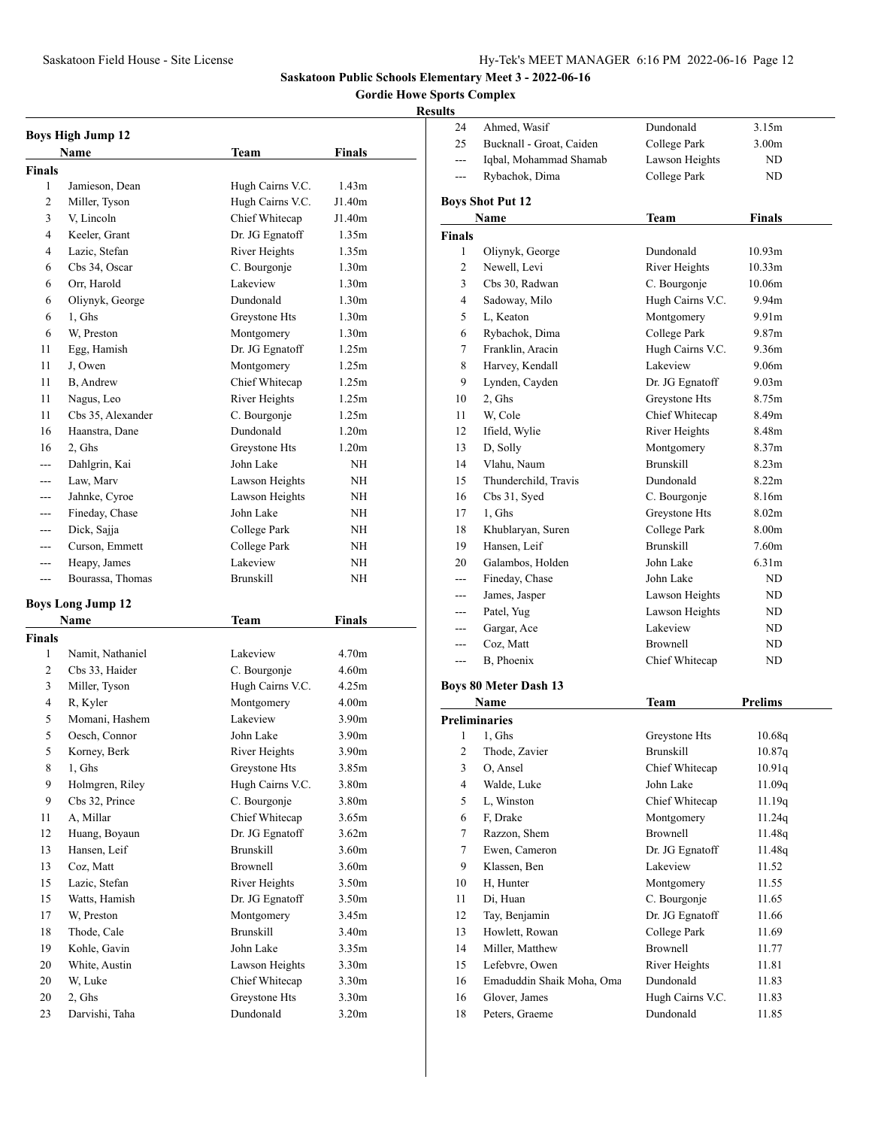Ahmed, Wasif Dundonald 3.15m

**Saskatoon Public Schools Elementary Meet 3 - 2022-06-16**

## **Gordie Howe Sports Complex**

# **Results**

|                    | <b>Boys High Jump 12</b>        |                                  |                            |
|--------------------|---------------------------------|----------------------------------|----------------------------|
|                    | Name                            | Team                             | Finals                     |
| <b>Finals</b>      |                                 |                                  |                            |
| 1                  | Jamieson, Dean                  | Hugh Cairns V.C.                 | 1.43 <sub>m</sub>          |
| 2                  | Miller, Tyson                   | Hugh Cairns V.C.                 | J1.40m                     |
| 3                  | V, Lincoln                      | Chief Whitecap                   | J1.40m                     |
| 4                  | Keeler, Grant                   | Dr. JG Egnatoff                  | 1.35m                      |
| 4                  | Lazic, Stefan                   | River Heights                    | 1.35m                      |
| 6                  | Cbs 34, Oscar                   | C. Bourgonje                     | 1.30 <sub>m</sub>          |
| 6                  | Orr, Harold                     | Lakeview                         | 1.30 <sub>m</sub>          |
| 6                  | Oliynyk, George                 | Dundonald                        | 1.30 <sub>m</sub>          |
| 6                  | 1. Ghs                          | Greystone Hts                    | 1.30 <sub>m</sub>          |
| 6                  | W. Preston                      | Montgomery                       | 1.30 <sub>m</sub>          |
| 11                 | Egg, Hamish                     | Dr. JG Egnatoff                  | 1.25m                      |
| 11                 | J, Owen                         | Montgomery                       | 1.25m                      |
| 11                 | B, Andrew                       | Chief Whitecap                   | 1.25m                      |
| 11                 | Nagus, Leo                      | River Heights                    | 1.25m                      |
| 11                 | Cbs 35, Alexander               | C. Bourgonje                     | 1.25m                      |
| 16                 | Haanstra, Dane                  | Dundonald                        | 1.20 <sub>m</sub>          |
| 16                 | 2, Ghs                          | Greystone Hts                    | 1.20 <sub>m</sub>          |
|                    | Dahlgrin, Kai                   | John Lake                        | NΗ                         |
| $---$              | Law, Marv                       | Lawson Heights                   | NΗ                         |
| ---                | Jahnke, Cyroe                   | Lawson Heights                   | NH                         |
| ---                | Fineday, Chase                  | John Lake                        | NΗ                         |
| ---                | Dick, Sajja                     | College Park                     | <b>NH</b>                  |
| $---$              | Curson, Emmett                  | College Park                     | NH                         |
| ---                | Heapy, James                    | Lakeview                         | ΝH                         |
| $- - -$            | Bourassa, Thomas                | <b>Brunskill</b>                 | NΗ                         |
|                    |                                 |                                  |                            |
|                    | <b>Boys Long Jump 12</b>        |                                  |                            |
|                    | Name                            | Team                             | Finals                     |
| <b>Finals</b><br>1 |                                 | Lakeview                         | 4.70 <sub>m</sub>          |
| 2                  | Namit, Nathaniel                |                                  | 4.60 <sub>m</sub>          |
| 3                  | Cbs 33, Haider                  | C. Bourgonje<br>Hugh Cairns V.C. | 4.25m                      |
| 4                  | Miller, Tyson<br>R, Kyler       | Montgomery                       | 4.00 <sub>m</sub>          |
|                    |                                 | Lakeview                         |                            |
| 5<br>5             | Momani, Hashem<br>Oesch, Connor | John Lake                        | 3.90m<br>3.90 <sub>m</sub> |
| 5                  |                                 | River Heights                    |                            |
| 8                  | Korney, Berk<br>1, Ghs          | Greystone Hts                    | 3.90m<br>3.85m             |
| 9                  | Holmgren, Riley                 | Hugh Cairns V.C.                 | 3.80m                      |
| 9                  | Cbs 32, Prince                  | C. Bourgonje                     | 3.80m                      |
| 11                 | A. Millar                       | Chief Whitecap                   | 3.65m                      |
| 12                 | Huang, Boyaun                   | Dr. JG Egnatoff                  | 3.62m                      |
| 13                 | Hansen, Leif                    | <b>Brunskill</b>                 | 3.60 <sub>m</sub>          |
| 13                 | Coz, Matt                       | <b>Brownell</b>                  | 3.60m                      |
| 15                 | Lazic, Stefan                   | River Heights                    | 3.50 <sub>m</sub>          |
| 15                 | Watts, Hamish                   | Dr. JG Egnatoff                  | 3.50 <sub>m</sub>          |
| 17                 | W, Preston                      | Montgomery                       | 3.45m                      |
| 18                 | Thode, Cale                     | <b>Brunskill</b>                 | 3.40m                      |
| 19                 | Kohle, Gavin                    | John Lake                        | 3.35m                      |
| 20                 | White, Austin                   | Lawson Heights                   | 3.30 <sub>m</sub>          |
| 20                 | W, Luke                         | Chief Whitecap                   | 3.30 <sub>m</sub>          |
| 20                 | 2, Ghs                          | Greystone Hts                    | 3.30 <sub>m</sub>          |
| 23                 | Darvishi, Taha                  | Dundonald                        | 3.20 <sub>m</sub>          |

| 25                       | Bucknall - Groat, Caiden        | College Park                  | 3.00 <sub>m</sub> |
|--------------------------|---------------------------------|-------------------------------|-------------------|
| $---$                    | Iqbal, Mohammad Shamab          | Lawson Heights                | ND                |
| ---                      | Rybachok, Dima                  | College Park                  | ND                |
|                          |                                 |                               |                   |
|                          | <b>Boys Shot Put 12</b><br>Name |                               | Finals            |
|                          |                                 | Team                          |                   |
| <b>Finals</b><br>1       |                                 | Dundonald                     | 10.93m            |
| 2                        | Oliynyk, George<br>Newell, Levi | River Heights                 | 10.33m            |
| 3                        | Cbs 30, Radwan                  | C. Bourgonje                  | 10.06m            |
| 4                        |                                 | Hugh Cairns V.C.              | 9.94m             |
|                          | Sadoway, Milo                   |                               | 9.91 <sub>m</sub> |
| 5                        | L, Keaton                       | Montgomery<br>College Park    | 9.87m             |
| 6                        | Rybachok, Dima                  |                               |                   |
| 7                        | Franklin, Aracin                | Hugh Cairns V.C.<br>Lakeview  | 9.36m             |
| 8                        | Harvey, Kendall                 |                               | 9.06m             |
| 9                        | Lynden, Cayden                  | Dr. JG Egnatoff               | 9.03m             |
| 10                       | 2, Ghs                          | Greystone Hts                 | 8.75m             |
| 11                       | W, Cole                         | Chief Whitecap                | 8.49m             |
| 12                       | Ifield, Wylie                   | River Heights                 | 8.48m             |
| 13                       | D, Solly                        | Montgomery                    | 8.37m             |
| 14                       | Vlahu, Naum                     | <b>Brunskill</b>              | 8.23m             |
| 15                       | Thunderchild, Travis            | Dundonald                     | 8.22m             |
| 16                       | Cbs 31, Syed                    | C. Bourgonje                  | 8.16m             |
| 17                       | 1, Ghs                          | Greystone Hts                 | 8.02 <sub>m</sub> |
| 18                       | Khublaryan, Suren               | College Park                  | 8.00m             |
| 19                       | Hansen, Leif                    | <b>Brunskill</b>              | 7.60m             |
| 20                       | Galambos, Holden                | John Lake                     | 6.31m             |
| $---$                    | Fineday, Chase                  | John Lake                     | ND                |
| ---                      | James, Jasper                   | Lawson Heights                | ND.               |
| ---                      | Patel, Yug                      | Lawson Heights                | ND.               |
| ---                      | Gargar, Ace                     | Lakeview                      | ND                |
| ---                      | Coz, Matt                       | <b>Brownell</b>               | ND.               |
| ---                      | B, Phoenix                      | Chief Whitecap                | ND                |
|                          | <b>Boys 80 Meter Dash 13</b>    |                               |                   |
|                          | Name                            | Team                          | Prelims           |
|                          | <b>Preliminaries</b>            |                               |                   |
| 1                        | 1, Ghs                          | Greystone Hts                 | 10.68q            |
| 2                        | Thode, Zavier                   | <b>Brunskill</b>              | 10.87q            |
| 3                        | O, Ansel                        | Chief Whitecap                | 10.91q            |
| $\overline{\mathcal{A}}$ | Walde, Luke                     | John Lake                     | 11.09q            |
| 5                        | L, Winston                      | Chief Whitecap                | 11.19q            |
| 6                        | F. Drake                        | Montgomery                    | 11.24q            |
| 7                        | Razzon, Shem                    | Brownell                      | 11.48q            |
| 7                        | Ewen, Cameron                   | Dr. JG Egnatoff               | 11.48q            |
| 9                        | Klassen, Ben                    | Lakeview                      | 11.52             |
| 10                       | H, Hunter                       | Montgomery                    | 11.55             |
| 11                       | Di, Huan                        | C. Bourgonje                  | 11.65             |
| 12                       | Tay, Benjamin                   | Dr. JG Egnatoff               | 11.66             |
| 13                       | Howlett, Rowan                  | College Park                  | 11.69             |
| 14                       | Miller, Matthew                 | <b>Brownell</b>               | 11.77             |
| 15                       |                                 |                               |                   |
|                          | Lefebvre, Owen                  | River Heights                 | 11.81             |
| 16                       | Emaduddin Shaik Moha, Oma       | Dundonald                     | 11.83             |
| 16                       | Glover, James                   |                               | 11.83             |
| 18                       | Peters, Graeme                  | Hugh Cairns V.C.<br>Dundonald | 11.85             |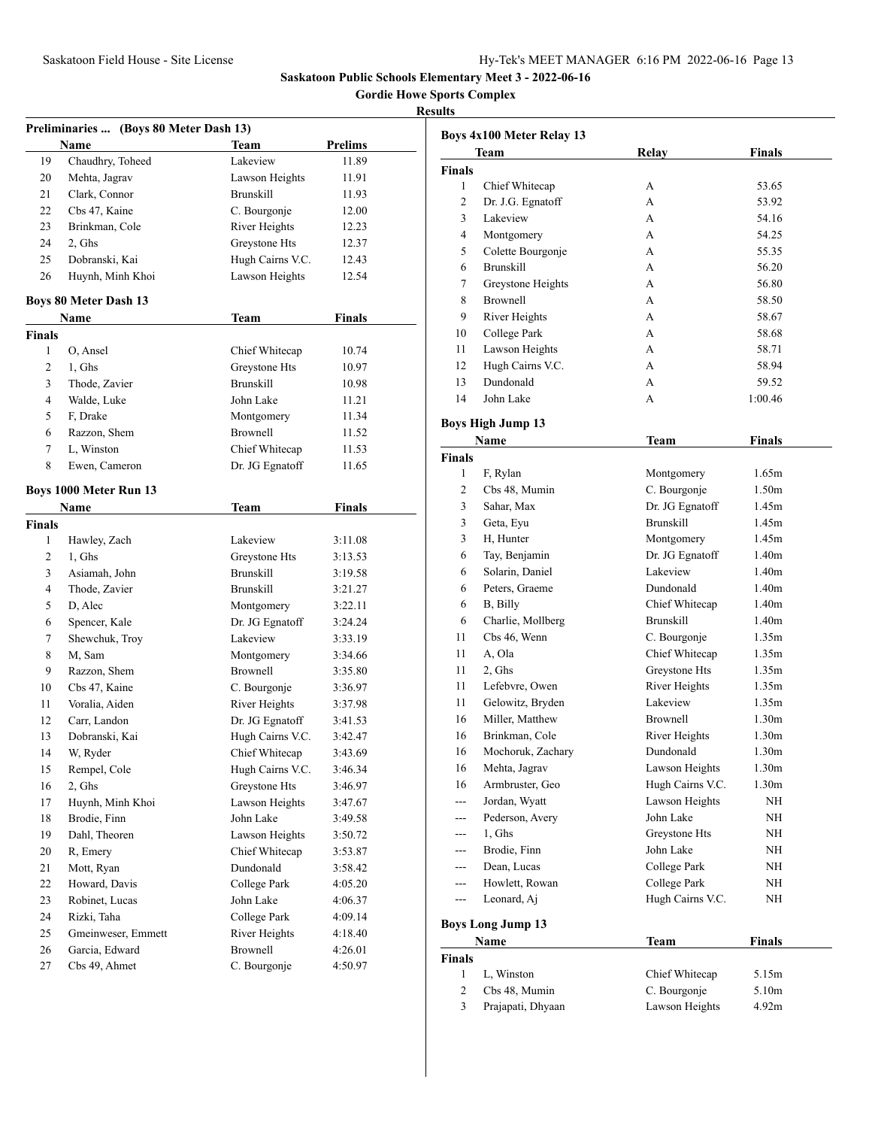**Gordie Howe Sports Complex**

|               | Preliminaries  (Boys 80 Meter Dash 13) |                  |                |
|---------------|----------------------------------------|------------------|----------------|
|               | <b>Name</b>                            | <b>Team</b>      | <b>Prelims</b> |
| 19            | Chaudhry, Toheed                       | Lakeview         | 11.89          |
| 20            | Mehta, Jagrav                          | Lawson Heights   | 11.91          |
| 21            | Clark, Connor                          | <b>Brunskill</b> | 11.93          |
| 22            | Cbs 47, Kaine                          | C. Bourgonje     | 12.00          |
| 23            | Brinkman, Cole                         | River Heights    | 12.23          |
| 24            | 2, Ghs                                 | Greystone Hts    | 12.37          |
| 25            | Dobranski, Kai                         | Hugh Cairns V.C. | 12.43          |
| 26            | Huynh, Minh Khoi                       | Lawson Heights   | 12.54          |
|               | <b>Boys 80 Meter Dash 13</b>           |                  |                |
|               | Name                                   | Team             | <b>Finals</b>  |
| <b>Finals</b> |                                        |                  |                |
| 1             | O, Ansel                               | Chief Whitecap   | 10.74          |
| 2             | 1, Ghs                                 | Greystone Hts    | 10.97          |
| 3             | Thode, Zavier                          | <b>Brunskill</b> | 10.98          |
| 4             | Walde, Luke                            | John Lake        | 11.21          |
| 5             | F, Drake                               | Montgomery       | 11.34          |
| 6             | Razzon, Shem                           | <b>Brownell</b>  | 11.52          |
| 7             | L, Winston                             | Chief Whitecap   | 11.53          |
| 8             | Ewen, Cameron                          | Dr. JG Egnatoff  | 11.65          |
|               |                                        |                  |                |
|               | Boys 1000 Meter Run 13                 |                  |                |
|               | <b>Name</b>                            | Team             | <b>Finals</b>  |
| <b>Finals</b> |                                        |                  |                |
| 1             | Hawley, Zach                           | Lakeview         | 3:11.08        |
| 2             | 1, Ghs                                 | Greystone Hts    | 3:13.53        |
| 3             | Asiamah, John                          | <b>Brunskill</b> | 3:19.58        |
| 4             | Thode, Zavier                          | <b>Brunskill</b> | 3:21.27        |
| 5             | D, Alec                                | Montgomery       | 3:22.11        |
| 6             | Spencer, Kale                          | Dr. JG Egnatoff  | 3:24.24        |
| 7             | Shewchuk, Troy                         | Lakeview         | 3:33.19        |
| 8             | M, Sam                                 | Montgomery       | 3:34.66        |
| 9             | Razzon, Shem                           | Brownell         | 3:35.80        |
| 10            | Cbs 47, Kaine                          | C. Bourgonje     | 3:36.97        |
| 11            | Voralia, Aiden                         | River Heights    | 3:37.98        |
| 12            | Carr, Landon                           | Dr. JG Egnatoff  | 3:41.53        |
| 13            | Dobranski, Kai                         | Hugh Cairns V.C. | 3:42.47        |
| 14            | W, Ryder                               | Chief Whitecap   | 3:43.69        |
| 15            | Rempel, Cole                           | Hugh Cairns V.C. | 3:46.34        |
| 16            | 2, Ghs                                 | Greystone Hts    | 3:46.97        |
| 17            | Huynh, Minh Khoi                       | Lawson Heights   | 3:47.67        |
| 18            | Brodie, Finn                           | John Lake        | 3:49.58        |
| 19            | Dahl, Theoren                          | Lawson Heights   | 3:50.72        |
| 20            | R, Emery                               | Chief Whitecap   | 3:53.87        |
| 21            | Mott, Ryan                             | Dundonald        | 3:58.42        |
| 22            | Howard, Davis                          | College Park     | 4:05.20        |
| 23            | Robinet, Lucas                         | John Lake        | 4:06.37        |
| 24            | Rizki, Taha                            | College Park     | 4:09.14        |
| 25            | Gmeinweser, Emmett                     | River Heights    | 4:18.40        |
| 26            | Garcia, Edward                         | <b>Brownell</b>  | 4:26.01        |
| 27            | Cbs 49, Ahmet                          | C. Bourgonje     | 4:50.97        |
|               |                                        |                  |                |

|                         | Boys 4x100 Meter Relay 13 |                  |                   |
|-------------------------|---------------------------|------------------|-------------------|
|                         | Team                      | Relay            | <b>Finals</b>     |
| <b>Finals</b>           |                           |                  |                   |
| 1                       | Chief Whitecap            | А                | 53.65             |
| 2                       | Dr. J.G. Egnatoff         | A                | 53.92             |
| 3                       | Lakeview                  | A                | 54.16             |
| 4                       | Montgomery                | А                | 54.25             |
| 5                       | Colette Bourgonje         | А                | 55.35             |
| 6                       | <b>Brunskill</b>          | A                | 56.20             |
| 7                       | Greystone Heights         | А                | 56.80             |
| 8                       | <b>Brownell</b>           | А                | 58.50             |
| 9                       | River Heights             | A                | 58.67             |
| 10                      | College Park              | А                | 58.68             |
| 11                      | Lawson Heights            | А                | 58.71             |
| 12                      | Hugh Cairns V.C.          | A                | 58.94             |
| 13                      | Dundonald                 | A                | 59.52             |
| 14                      | John Lake                 | А                | 1:00.46           |
|                         |                           |                  |                   |
|                         | <b>Boys High Jump 13</b>  |                  |                   |
|                         | Name                      | Team             | <b>Finals</b>     |
| <b>Finals</b>           |                           |                  |                   |
| 1                       | F, Rylan                  | Montgomery       | 1.65m             |
| 2                       | Cbs 48, Mumin             | C. Bourgonje     | 1.50 <sub>m</sub> |
| 3                       | Sahar, Max                | Dr. JG Egnatoff  | 1.45m             |
| 3                       | Geta, Eyu                 | <b>Brunskill</b> | 1.45m             |
| 3                       | H, Hunter                 | Montgomery       | 1.45m             |
| 6                       | Tay, Benjamin             | Dr. JG Egnatoff  | 1.40 <sub>m</sub> |
| 6                       | Solarin, Daniel           | Lakeview         | 1.40 <sub>m</sub> |
| 6                       | Peters, Graeme            | Dundonald        | 1.40 <sub>m</sub> |
| 6                       | B, Billy                  | Chief Whitecap   | 1.40 <sub>m</sub> |
| 6                       | Charlie, Mollberg         | <b>Brunskill</b> | 1.40 <sub>m</sub> |
| 11                      | Cbs 46, Wenn              | C. Bourgonje     | 1.35m             |
| 11                      | A, Ola                    | Chief Whitecap   | 1.35m             |
| 11                      | 2, Ghs                    | Greystone Hts    | 1.35m             |
| 11                      | Lefebvre, Owen            | River Heights    | 1.35m             |
| 11                      | Gelowitz, Bryden          | Lakeview         | 1.35m             |
| 16                      | Miller, Matthew           | <b>Brownell</b>  | 1.30 <sub>m</sub> |
| 16                      | Brinkman, Cole            | River Heights    | 1.30 <sub>m</sub> |
| 16                      | Mochoruk, Zachary         | Dundonald        | 1.30 <sub>m</sub> |
| 16                      | Mehta, Jagrav             | Lawson Heights   | 1.30m             |
| 16                      | Armbruster, Geo           | Hugh Cairns V.C. | 1.30m             |
| ---                     | Jordan, Wyatt             | Lawson Heights   | NH                |
| ---                     | Pederson, Avery           | John Lake        | ΝH                |
| ---                     | $1, G$ hs                 | Greystone Hts    | ΝH                |
| ---                     | Brodie, Finn              | John Lake        | NH                |
| ---                     | Dean, Lucas               | College Park     | NH                |
| ---                     | Howlett, Rowan            | College Park     | NH                |
| $---$                   | Leonard, Aj               | Hugh Cairns V.C. | NH                |
|                         | <b>Boys Long Jump 13</b>  |                  |                   |
|                         | Name                      | <b>Team</b>      | <b>Finals</b>     |
| <b>Finals</b>           |                           |                  |                   |
| 1                       | L, Winston                | Chief Whitecap   | 5.15m             |
| 2                       | Cbs 48, Mumin             | C. Bourgonje     | 5.10m             |
| $\overline{\mathbf{3}}$ | Prajapati, Dhyaan         | Lawson Heights   | 4.92m             |
|                         |                           |                  |                   |